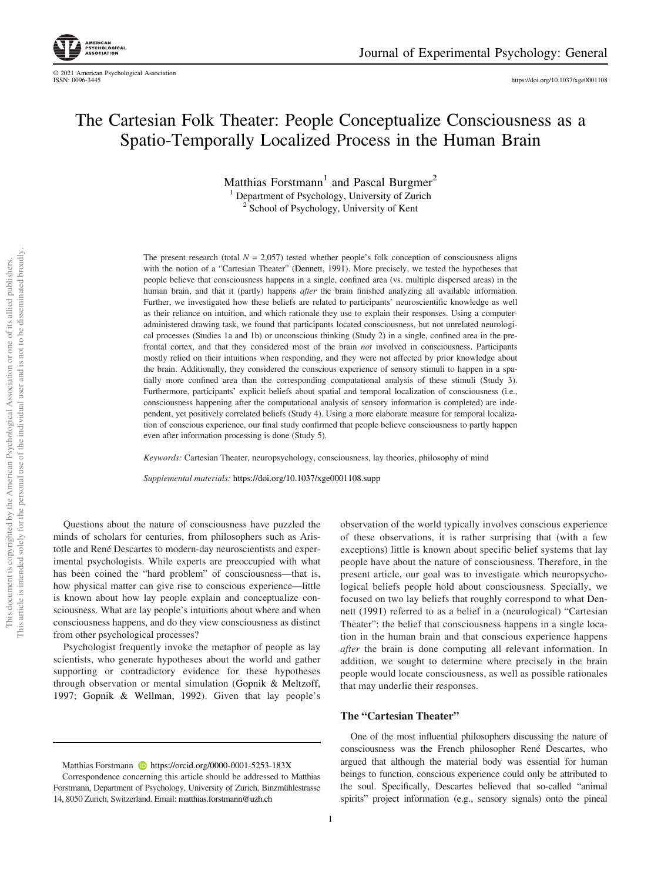https://doi.org/10.1037/xge0001108

# The Cartesian Folk Theater: People Conceptualize Consciousness as a Spatio-Temporally Localized Process in the Human Brain

Matthias Forstmann<sup>1</sup> and Pascal Burgmer<sup>2</sup> <sup>1</sup> Department of Psychology, University of Zurich <sup>2</sup> School of Psychology, University of Kent

The present research (total  $N = 2,057$ ) tested whether people's folk conception of consciousness aligns with the notion of a "Cartesian Theater" (Dennett, 1991). More precisely, we tested the hypotheses that people believe that consciousness happens in a single, confined area (vs. multiple dispersed areas) in the human brain, and that it (partly) happens *after* the brain finished analyzing all available information. Further, we investigated how these beliefs are related to participants' neuroscientific knowledge as well as their reliance on intuition, and which rationale they use to explain their responses. Using a computeradministered drawing task, we found that participants located consciousness, but not unrelated neurological processes (Studies 1a and 1b) or unconscious thinking (Study 2) in a single, confined area in the prefrontal cortex, and that they considered most of the brain *not* involved in consciousness. Participants mostly relied on their intuitions when responding, and they were not affected by prior knowledge about the brain. Additionally, they considered the conscious experience of sensory stimuli to happen in a spatially more confined area than the corresponding computational analysis of these stimuli (Study 3). Furthermore, participants' explicit beliefs about spatial and temporal localization of consciousness (i.e., consciousness happening after the computational analysis of sensory information is completed) are independent, yet positively correlated beliefs (Study 4). Using a more elaborate measure for temporal localization of conscious experience, our final study confirmed that people believe consciousness to partly happen even after information processing is done (Study 5).

*Keywords:* Cartesian Theater, neuropsychology, consciousness, lay theories, philosophy of mind

*Supplemental materials:* https://doi.org/10.1037/xge0001108.supp

Questions about the nature of consciousness have puzzled the minds of scholars for centuries, from philosophers such as Aristotle and René Descartes to modern-day neuroscientists and experimental psychologists. While experts are preoccupied with what has been coined the "hard problem" of consciousness––that is, how physical matter can give rise to conscious experience––little is known about how lay people explain and conceptualize consciousness. What are lay people's intuitions about where and when consciousness happens, and do they view consciousness as distinct from other psychological processes?

Psychologist frequently invoke the metaphor of people as lay scientists, who generate hypotheses about the world and gather supporting or contradictory evidence for these hypotheses through observation or mental simulation (Gopnik & Meltzoff, 1997; Gopnik & Wellman, 1992). Given that lay people's

observation of the world typically involves conscious experience of these observations, it is rather surprising that (with a few exceptions) little is known about specific belief systems that lay people have about the nature of consciousness. Therefore, in the present article, our goal was to investigate which neuropsychological beliefs people hold about consciousness. Specially, we focused on two lay beliefs that roughly correspond to what Dennett (1991) referred to as a belief in a (neurological) "Cartesian Theater": the belief that consciousness happens in a single location in the human brain and that conscious experience happens *after* the brain is done computing all relevant information. In addition, we sought to determine where precisely in the brain people would locate consciousness, as well as possible rationales that may underlie their responses.

#### The "Cartesian Theater"

One of the most influential philosophers discussing the nature of consciousness was the French philosopher René Descartes, who argued that although the material body was essential for human beings to function, conscious experience could only be attributed to the soul. Specifically, Descartes believed that so-called "animal spirits" project information (e.g., sensory signals) onto the pineal

Matthias Forstmann **https://orcid.org/0000-0001-5253-183X** 

Correspondence concerning this article should be addressed to Matthias Forstmann, Department of Psychology, University of Zurich, Binzmühlestrasse 14, 8050 Zurich, Switzerland. Email: matthias.forstmann@uzh.ch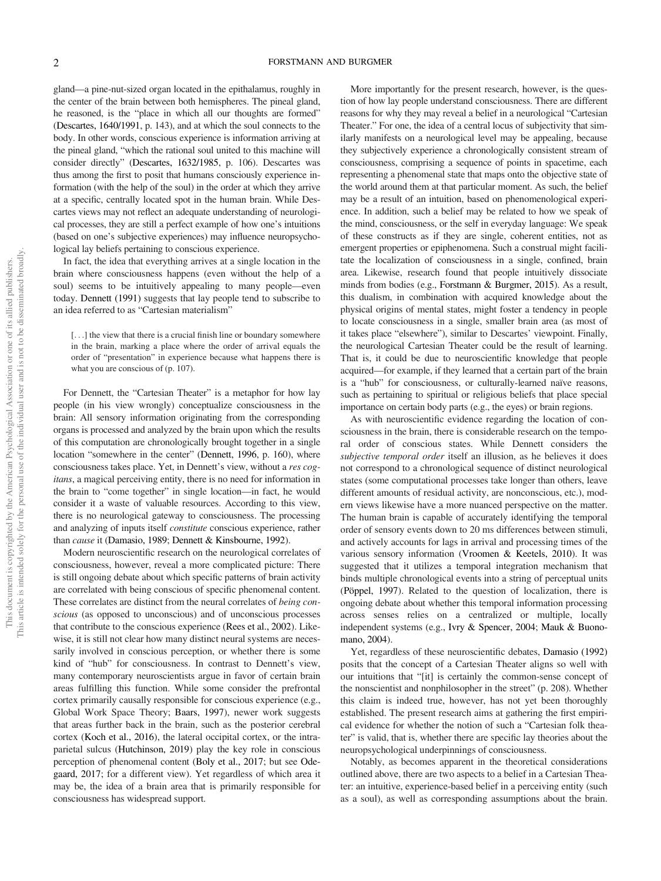gland—a pine-nut-sized organ located in the epithalamus, roughly in the center of the brain between both hemispheres. The pineal gland, he reasoned, is the "place in which all our thoughts are formed" (Descartes, 1640/1991, p. 143), and at which the soul connects to the body. In other words, conscious experience is information arriving at the pineal gland, "which the rational soul united to this machine will consider directly" (Descartes, 1632/1985, p. 106). Descartes was thus among the first to posit that humans consciously experience information (with the help of the soul) in the order at which they arrive at a specific, centrally located spot in the human brain. While Descartes views may not reflect an adequate understanding of neurological processes, they are still a perfect example of how one's intuitions (based on one's subjective experiences) may influence neuropsychological lay beliefs pertaining to conscious experience.

In fact, the idea that everything arrives at a single location in the brain where consciousness happens (even without the help of a soul) seems to be intuitively appealing to many people—even today. Dennett (1991) suggests that lay people tend to subscribe to an idea referred to as "Cartesian materialism"

[...] the view that there is a crucial finish line or boundary somewhere in the brain, marking a place where the order of arrival equals the order of "presentation" in experience because what happens there is what you are conscious of (p. 107).

For Dennett, the "Cartesian Theater" is a metaphor for how lay people (in his view wrongly) conceptualize consciousness in the brain: All sensory information originating from the corresponding organs is processed and analyzed by the brain upon which the results of this computation are chronologically brought together in a single location "somewhere in the center" (Dennett, 1996, p. 160), where consciousness takes place. Yet, in Dennett's view, without a *res cogitans*, a magical perceiving entity, there is no need for information in the brain to "come together" in single location—in fact, he would consider it a waste of valuable resources. According to this view, there is no neurological gateway to consciousness. The processing and analyzing of inputs itself *constitute* conscious experience, rather than *cause* it (Damasio, 1989; Dennett & Kinsbourne, 1992).

Modern neuroscientific research on the neurological correlates of consciousness, however, reveal a more complicated picture: There is still ongoing debate about which specific patterns of brain activity are correlated with being conscious of specific phenomenal content. These correlates are distinct from the neural correlates of *being conscious* (as opposed to unconscious) and of unconscious processes that contribute to the conscious experience (Rees et al., 2002). Likewise, it is still not clear how many distinct neural systems are necessarily involved in conscious perception, or whether there is some kind of "hub" for consciousness. In contrast to Dennett's view, many contemporary neuroscientists argue in favor of certain brain areas fulfilling this function. While some consider the prefrontal cortex primarily causally responsible for conscious experience (e.g., Global Work Space Theory; Baars, 1997), newer work suggests that areas further back in the brain, such as the posterior cerebral cortex (Koch et al., 2016), the lateral occipital cortex, or the intraparietal sulcus (Hutchinson, 2019) play the key role in conscious perception of phenomenal content (Boly et al., 2017; but see Odegaard, 2017; for a different view). Yet regardless of which area it may be, the idea of a brain area that is primarily responsible for consciousness has widespread support.

More importantly for the present research, however, is the question of how lay people understand consciousness. There are different reasons for why they may reveal a belief in a neurological "Cartesian Theater." For one, the idea of a central locus of subjectivity that similarly manifests on a neurological level may be appealing, because they subjectively experience a chronologically consistent stream of consciousness, comprising a sequence of points in spacetime, each representing a phenomenal state that maps onto the objective state of the world around them at that particular moment. As such, the belief may be a result of an intuition, based on phenomenological experience. In addition, such a belief may be related to how we speak of the mind, consciousness, or the self in everyday language: We speak of these constructs as if they are single, coherent entities, not as emergent properties or epiphenomena. Such a construal might facilitate the localization of consciousness in a single, confined, brain area. Likewise, research found that people intuitively dissociate minds from bodies (e.g., Forstmann & Burgmer, 2015). As a result, this dualism, in combination with acquired knowledge about the physical origins of mental states, might foster a tendency in people to locate consciousness in a single, smaller brain area (as most of it takes place "elsewhere"), similar to Descartes' viewpoint. Finally, the neurological Cartesian Theater could be the result of learning. That is, it could be due to neuroscientific knowledge that people acquired—for example, if they learned that a certain part of the brain is a "hub" for consciousness, or culturally-learned naïve reasons, such as pertaining to spiritual or religious beliefs that place special importance on certain body parts (e.g., the eyes) or brain regions.

As with neuroscientific evidence regarding the location of consciousness in the brain, there is considerable research on the temporal order of conscious states. While Dennett considers the *subjective temporal order* itself an illusion, as he believes it does not correspond to a chronological sequence of distinct neurological states (some computational processes take longer than others, leave different amounts of residual activity, are nonconscious, etc.), modern views likewise have a more nuanced perspective on the matter. The human brain is capable of accurately identifying the temporal order of sensory events down to 20 ms differences between stimuli, and actively accounts for lags in arrival and processing times of the various sensory information (Vroomen & Keetels, 2010). It was suggested that it utilizes a temporal integration mechanism that binds multiple chronological events into a string of perceptual units (Pöppel, 1997). Related to the question of localization, there is ongoing debate about whether this temporal information processing across senses relies on a centralized or multiple, locally independent systems (e.g., Ivry & Spencer, 2004; Mauk & Buonomano, 2004).

Yet, regardless of these neuroscientific debates, Damasio (1992) posits that the concept of a Cartesian Theater aligns so well with our intuitions that "[it] is certainly the common-sense concept of the nonscientist and nonphilosopher in the street" (p. 208). Whether this claim is indeed true, however, has not yet been thoroughly established. The present research aims at gathering the first empirical evidence for whether the notion of such a "Cartesian folk theater" is valid, that is, whether there are specific lay theories about the neuropsychological underpinnings of consciousness.

Notably, as becomes apparent in the theoretical considerations outlined above, there are two aspects to a belief in a Cartesian Theater: an intuitive, experience-based belief in a perceiving entity (such as a soul), as well as corresponding assumptions about the brain.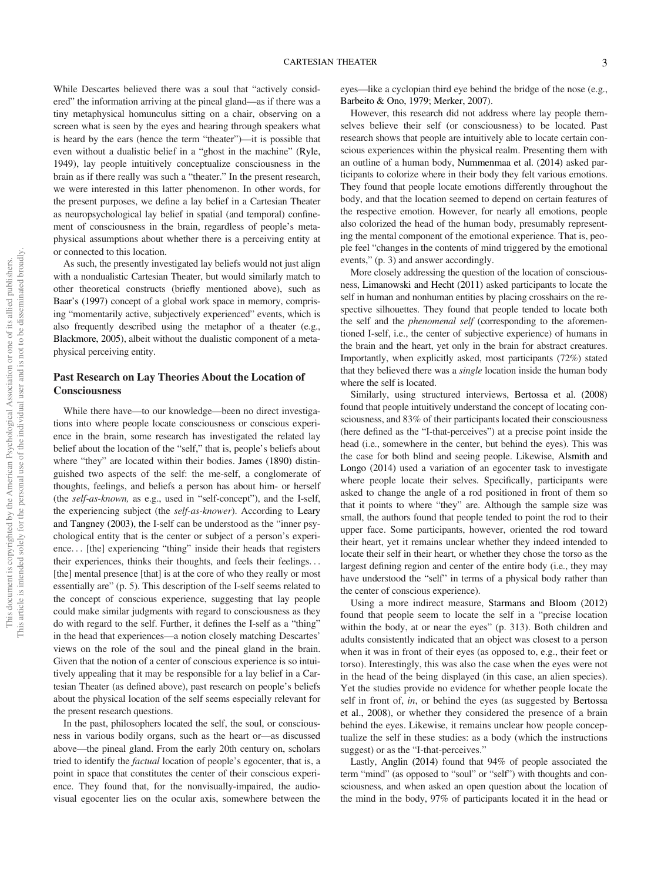While Descartes believed there was a soul that "actively considered" the information arriving at the pineal gland—as if there was a tiny metaphysical homunculus sitting on a chair, observing on a screen what is seen by the eyes and hearing through speakers what is heard by the ears (hence the term "theater")—it is possible that even without a dualistic belief in a "ghost in the machine" (Ryle, 1949), lay people intuitively conceptualize consciousness in the brain as if there really was such a "theater." In the present research, we were interested in this latter phenomenon. In other words, for the present purposes, we define a lay belief in a Cartesian Theater as neuropsychological lay belief in spatial (and temporal) confinement of consciousness in the brain, regardless of people's metaphysical assumptions about whether there is a perceiving entity at or connected to this location.

As such, the presently investigated lay beliefs would not just align with a nondualistic Cartesian Theater, but would similarly match to other theoretical constructs (briefly mentioned above), such as Baar's (1997) concept of a global work space in memory, comprising "momentarily active, subjectively experienced" events, which is also frequently described using the metaphor of a theater (e.g., Blackmore, 2005), albeit without the dualistic component of a metaphysical perceiving entity.

## Past Research on Lay Theories About the Location of Consciousness

While there have—to our knowledge—been no direct investigations into where people locate consciousness or conscious experience in the brain, some research has investigated the related lay belief about the location of the "self," that is, people's beliefs about where "they" are located within their bodies. James (1890) distinguished two aspects of the self: the me-self, a conglomerate of thoughts, feelings, and beliefs a person has about him- or herself (the *self-as-known,* as e.g., used in "self-concept"), and the I-self, the experiencing subject (the *self-as-knower*). According to Leary and Tangney (2003), the I-self can be understood as the "inner psychological entity that is the center or subject of a person's experience... [the] experiencing "thing" inside their heads that registers their experiences, thinks their thoughts, and feels their feelings... [the] mental presence [that] is at the core of who they really or most essentially are" (p. 5). This description of the I-self seems related to the concept of conscious experience, suggesting that lay people could make similar judgments with regard to consciousness as they do with regard to the self. Further, it defines the I-self as a "thing" in the head that experiences—a notion closely matching Descartes' views on the role of the soul and the pineal gland in the brain. Given that the notion of a center of conscious experience is so intuitively appealing that it may be responsible for a lay belief in a Cartesian Theater (as defined above), past research on people's beliefs about the physical location of the self seems especially relevant for the present research questions.

In the past, philosophers located the self, the soul, or consciousness in various bodily organs, such as the heart or—as discussed above—the pineal gland. From the early 20th century on, scholars tried to identify the *factual* location of people's egocenter, that is, a point in space that constitutes the center of their conscious experience. They found that, for the nonvisually-impaired, the audiovisual egocenter lies on the ocular axis, somewhere between the eyes—like a cyclopian third eye behind the bridge of the nose (e.g., Barbeito & Ono, 1979; Merker, 2007).

However, this research did not address where lay people themselves believe their self (or consciousness) to be located. Past research shows that people are intuitively able to locate certain conscious experiences within the physical realm. Presenting them with an outline of a human body, Nummenmaa et al. (2014) asked participants to colorize where in their body they felt various emotions. They found that people locate emotions differently throughout the body, and that the location seemed to depend on certain features of the respective emotion. However, for nearly all emotions, people also colorized the head of the human body, presumably representing the mental component of the emotional experience. That is, people feel "changes in the contents of mind triggered by the emotional events," (p. 3) and answer accordingly.

More closely addressing the question of the location of consciousness, Limanowski and Hecht (2011) asked participants to locate the self in human and nonhuman entities by placing crosshairs on the respective silhouettes. They found that people tended to locate both the self and the *phenomenal self* (corresponding to the aforementioned I-self, i.e., the center of subjective experience) of humans in the brain and the heart, yet only in the brain for abstract creatures. Importantly, when explicitly asked, most participants (72%) stated that they believed there was a *single* location inside the human body where the self is located.

Similarly, using structured interviews, Bertossa et al. (2008) found that people intuitively understand the concept of locating consciousness, and 83% of their participants located their consciousness (here defined as the "I-that-perceives") at a precise point inside the head (i.e., somewhere in the center, but behind the eyes). This was the case for both blind and seeing people. Likewise, Alsmith and Longo (2014) used a variation of an egocenter task to investigate where people locate their selves. Specifically, participants were asked to change the angle of a rod positioned in front of them so that it points to where "they" are. Although the sample size was small, the authors found that people tended to point the rod to their upper face. Some participants, however, oriented the rod toward their heart, yet it remains unclear whether they indeed intended to locate their self in their heart, or whether they chose the torso as the largest defining region and center of the entire body (i.e., they may have understood the "self" in terms of a physical body rather than the center of conscious experience).

Using a more indirect measure, Starmans and Bloom (2012) found that people seem to locate the self in a "precise location within the body, at or near the eyes" (p. 313). Both children and adults consistently indicated that an object was closest to a person when it was in front of their eyes (as opposed to, e.g., their feet or torso). Interestingly, this was also the case when the eyes were not in the head of the being displayed (in this case, an alien species). Yet the studies provide no evidence for whether people locate the self in front of, *in*, or behind the eyes (as suggested by Bertossa et al., 2008), or whether they considered the presence of a brain behind the eyes. Likewise, it remains unclear how people conceptualize the self in these studies: as a body (which the instructions suggest) or as the "I-that-perceives."

Lastly, Anglin (2014) found that 94% of people associated the term "mind" (as opposed to "soul" or "self") with thoughts and consciousness, and when asked an open question about the location of the mind in the body, 97% of participants located it in the head or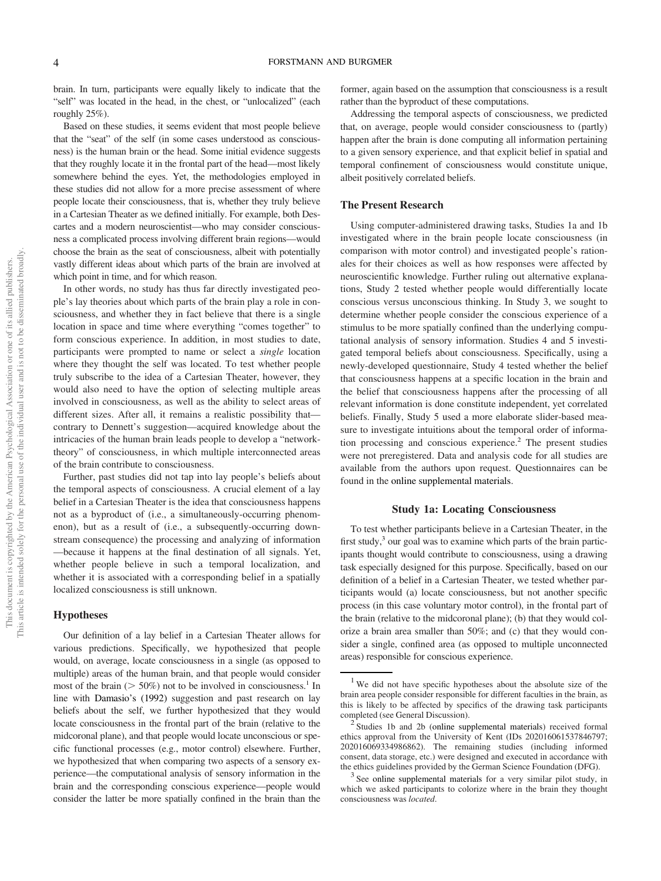brain. In turn, participants were equally likely to indicate that the "self" was located in the head, in the chest, or "unlocalized" (each roughly 25%).

Based on these studies, it seems evident that most people believe that the "seat" of the self (in some cases understood as consciousness) is the human brain or the head. Some initial evidence suggests that they roughly locate it in the frontal part of the head—most likely somewhere behind the eyes. Yet, the methodologies employed in these studies did not allow for a more precise assessment of where people locate their consciousness, that is, whether they truly believe in a Cartesian Theater as we defined initially. For example, both Descartes and a modern neuroscientist—who may consider consciousness a complicated process involving different brain regions—would choose the brain as the seat of consciousness, albeit with potentially vastly different ideas about which parts of the brain are involved at which point in time, and for which reason.

In other words, no study has thus far directly investigated people's lay theories about which parts of the brain play a role in consciousness, and whether they in fact believe that there is a single location in space and time where everything "comes together" to form conscious experience. In addition, in most studies to date, participants were prompted to name or select a *single* location where they thought the self was located. To test whether people truly subscribe to the idea of a Cartesian Theater, however, they would also need to have the option of selecting multiple areas involved in consciousness, as well as the ability to select areas of different sizes. After all, it remains a realistic possibility that contrary to Dennett's suggestion—acquired knowledge about the intricacies of the human brain leads people to develop a "networktheory" of consciousness, in which multiple interconnected areas of the brain contribute to consciousness.

Further, past studies did not tap into lay people's beliefs about the temporal aspects of consciousness. A crucial element of a lay belief in a Cartesian Theater is the idea that consciousness happens not as a byproduct of (i.e., a simultaneously-occurring phenomenon), but as a result of (i.e., a subsequently-occurring downstream consequence) the processing and analyzing of information —because it happens at the final destination of all signals. Yet, whether people believe in such a temporal localization, and whether it is associated with a corresponding belief in a spatially localized consciousness is still unknown.

#### Hypotheses

Our definition of a lay belief in a Cartesian Theater allows for various predictions. Specifically, we hypothesized that people would, on average, locate consciousness in a single (as opposed to multiple) areas of the human brain, and that people would consider most of the brain ( $>$  50%) not to be involved in consciousness.<sup>1</sup> In line with Damasio's (1992) suggestion and past research on lay beliefs about the self, we further hypothesized that they would locate consciousness in the frontal part of the brain (relative to the midcoronal plane), and that people would locate unconscious or specific functional processes (e.g., motor control) elsewhere. Further, we hypothesized that when comparing two aspects of a sensory experience—the computational analysis of sensory information in the brain and the corresponding conscious experience—people would consider the latter be more spatially confined in the brain than the former, again based on the assumption that consciousness is a result rather than the byproduct of these computations.

Addressing the temporal aspects of consciousness, we predicted that, on average, people would consider consciousness to (partly) happen after the brain is done computing all information pertaining to a given sensory experience, and that explicit belief in spatial and temporal confinement of consciousness would constitute unique, albeit positively correlated beliefs.

#### The Present Research

Using computer-administered drawing tasks, Studies 1a and 1b investigated where in the brain people locate consciousness (in comparison with motor control) and investigated people's rationales for their choices as well as how responses were affected by neuroscientific knowledge. Further ruling out alternative explanations, Study 2 tested whether people would differentially locate conscious versus unconscious thinking. In Study 3, we sought to determine whether people consider the conscious experience of a stimulus to be more spatially confined than the underlying computational analysis of sensory information. Studies 4 and 5 investigated temporal beliefs about consciousness. Specifically, using a newly-developed questionnaire, Study 4 tested whether the belief that consciousness happens at a specific location in the brain and the belief that consciousness happens after the processing of all relevant information is done constitute independent, yet correlated beliefs. Finally, Study 5 used a more elaborate slider-based measure to investigate intuitions about the temporal order of information processing and conscious experience.<sup>2</sup> The present studies were not preregistered. Data and analysis code for all studies are available from the authors upon request. Questionnaires can be found in the online supplemental materials.

#### Study 1a: Locating Consciousness

To test whether participants believe in a Cartesian Theater, in the first study,<sup>3</sup> our goal was to examine which parts of the brain participants thought would contribute to consciousness, using a drawing task especially designed for this purpose. Specifically, based on our definition of a belief in a Cartesian Theater, we tested whether participants would (a) locate consciousness, but not another specific process (in this case voluntary motor control), in the frontal part of the brain (relative to the midcoronal plane); (b) that they would colorize a brain area smaller than 50%; and (c) that they would consider a single, confined area (as opposed to multiple unconnected areas) responsible for conscious experience.

<sup>&</sup>lt;sup>1</sup> We did not have specific hypotheses about the absolute size of the brain area people consider responsible for different faculties in the brain, as this is likely to be affected by specifics of the drawing task participants completed (see General Discussion).

<sup>&</sup>lt;sup>2</sup> Studies 1b and 2b (online supplemental materials) received formal ethics approval from the University of Kent (IDs 202016061537846797; 202016069334986862). The remaining studies (including informed consent, data storage, etc.) were designed and executed in accordance with the ethics guidelines provided by the German Science Foundation (DFG).

<sup>&</sup>lt;sup>3</sup> See online supplemental materials for a very similar pilot study, in which we asked participants to colorize where in the brain they thought consciousness was *located*.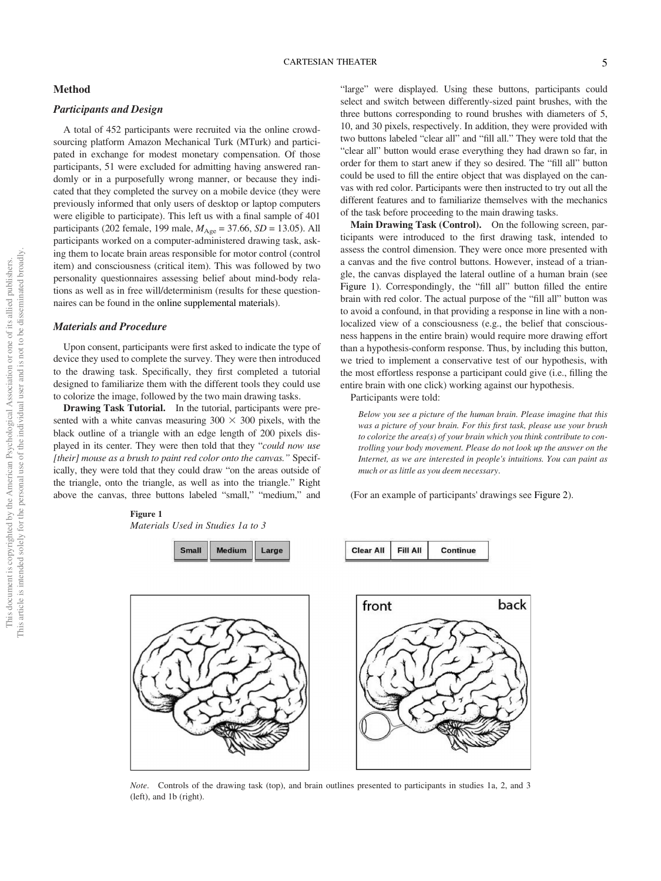#### Method

## Participants and Design

A total of 452 participants were recruited via the online crowdsourcing platform Amazon Mechanical Turk (MTurk) and participated in exchange for modest monetary compensation. Of those participants, 51 were excluded for admitting having answered randomly or in a purposefully wrong manner, or because they indicated that they completed the survey on a mobile device (they were previously informed that only users of desktop or laptop computers were eligible to participate). This left us with a final sample of 401 participants (202 female, 199 male,  $M_{\text{Age}} = 37.66$ ,  $SD = 13.05$ ). All participants worked on a computer-administered drawing task, asking them to locate brain areas responsible for motor control (control item) and consciousness (critical item). This was followed by two personality questionnaires assessing belief about mind-body relations as well as in free will/determinism (results for these questionnaires can be found in the online supplemental materials).

#### Materials and Procedure

Upon consent, participants were first asked to indicate the type of device they used to complete the survey. They were then introduced to the drawing task. Specifically, they first completed a tutorial designed to familiarize them with the different tools they could use to colorize the image, followed by the two main drawing tasks.

Drawing Task Tutorial. In the tutorial, participants were presented with a white canvas measuring  $300 \times 300$  pixels, with the black outline of a triangle with an edge length of 200 pixels displayed in its center. They were then told that they "*could now use [their] mouse as a brush to paint red color onto the canvas.*" Specifically, they were told that they could draw "on the areas outside of the triangle, onto the triangle, as well as into the triangle." Right above the canvas, three buttons labeled "small," "medium," and



*Materials Used in Studies 1a to 3*



"large" were displayed. Using these buttons, participants could select and switch between differently-sized paint brushes, with the three buttons corresponding to round brushes with diameters of 5, 10, and 30 pixels, respectively. In addition, they were provided with two buttons labeled "clear all" and "fill all." They were told that the "clear all" button would erase everything they had drawn so far, in order for them to start anew if they so desired. The "fill all" button could be used to fill the entire object that was displayed on the canvas with red color. Participants were then instructed to try out all the different features and to familiarize themselves with the mechanics of the task before proceeding to the main drawing tasks.

Main Drawing Task (Control). On the following screen, participants were introduced to the first drawing task, intended to assess the control dimension. They were once more presented with a canvas and the five control buttons. However, instead of a triangle, the canvas displayed the lateral outline of a human brain (see Figure 1). Correspondingly, the "fill all" button filled the entire brain with red color. The actual purpose of the "fill all" button was to avoid a confound, in that providing a response in line with a nonlocalized view of a consciousness (e.g., the belief that consciousness happens in the entire brain) would require more drawing effort than a hypothesis-conform response. Thus, by including this button, we tried to implement a conservative test of our hypothesis, with the most effortless response a participant could give (i.e., filling the entire brain with one click) working against our hypothesis.

Participants were told:

**Clear All** 

Fill All

*Below you see a picture of the human brain. Please imagine that this was a picture of your brain. For this* fi*rst task, please use your brush to colorize the area(s) of your brain which you think contribute to controlling your body movement. Please do not look up the answer on the Internet, as we are interested in people's intuitions. You can paint as much or as little as you deem necessary*.

(For an example of participants' drawings see Figure 2).

Continue



*Note*. Controls of the drawing task (top), and brain outlines presented to participants in studies 1a, 2, and 3 (left), and 1b (right).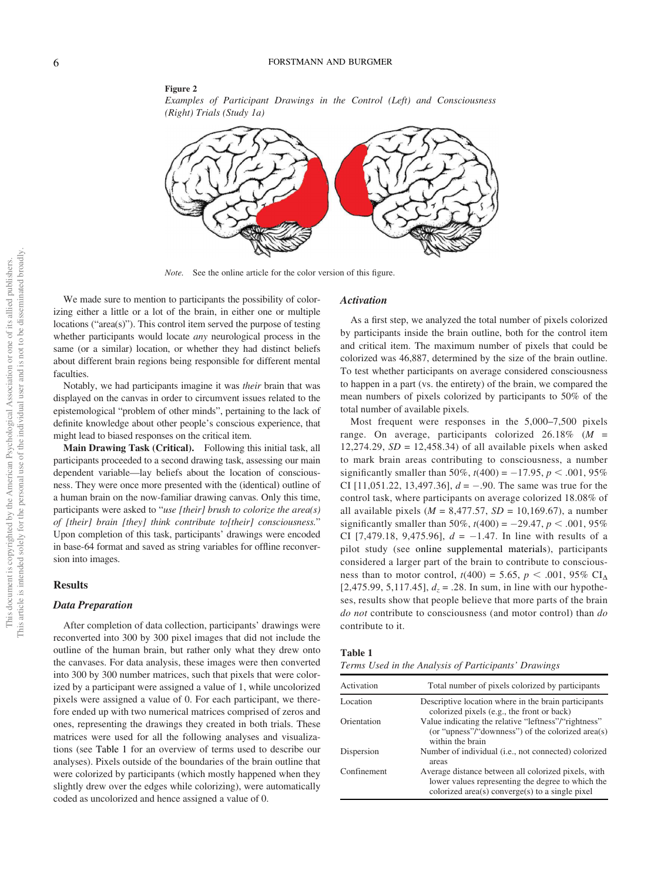## Figure 2

*Examples of Participant Drawings in the Control (Left) and Consciousness (Right) Trials (Study 1a)*



*Note.* See the online article for the color version of this figure.

We made sure to mention to participants the possibility of colorizing either a little or a lot of the brain, in either one or multiple locations ("area(s)"). This control item served the purpose of testing whether participants would locate *any* neurological process in the same (or a similar) location, or whether they had distinct beliefs about different brain regions being responsible for different mental faculties.

Notably, we had participants imagine it was *their* brain that was displayed on the canvas in order to circumvent issues related to the epistemological "problem of other minds", pertaining to the lack of definite knowledge about other people's conscious experience, that might lead to biased responses on the critical item.

Main Drawing Task (Critical). Following this initial task, all participants proceeded to a second drawing task, assessing our main dependent variable—lay beliefs about the location of consciousness. They were once more presented with the (identical) outline of a human brain on the now-familiar drawing canvas. Only this time, participants were asked to "*use [their] brush to colorize the area(s) of [their] brain [they] think contribute to[their] consciousness.*" Upon completion of this task, participants' drawings were encoded in base-64 format and saved as string variables for offline reconversion into images.

#### **Results**

#### Data Preparation

After completion of data collection, participants' drawings were reconverted into 300 by 300 pixel images that did not include the outline of the human brain, but rather only what they drew onto the canvases. For data analysis, these images were then converted into 300 by 300 number matrices, such that pixels that were colorized by a participant were assigned a value of 1, while uncolorized pixels were assigned a value of 0. For each participant, we therefore ended up with two numerical matrices comprised of zeros and ones, representing the drawings they created in both trials. These matrices were used for all the following analyses and visualizations (see Table 1 for an overview of terms used to describe our analyses). Pixels outside of the boundaries of the brain outline that were colorized by participants (which mostly happened when they slightly drew over the edges while colorizing), were automatically coded as uncolorized and hence assigned a value of 0.

## Activation

As a first step, we analyzed the total number of pixels colorized by participants inside the brain outline, both for the control item and critical item. The maximum number of pixels that could be colorized was 46,887, determined by the size of the brain outline. To test whether participants on average considered consciousness to happen in a part (vs. the entirety) of the brain, we compared the mean numbers of pixels colorized by participants to 50% of the total number of available pixels.

Most frequent were responses in the 5,000–7,500 pixels range. On average, participants colorized 26.18% (*M* = 12,274.29,  $SD = 12,458.34$ ) of all available pixels when asked to mark brain areas contributing to consciousness, a number significantly smaller than 50%,  $t(400) = -17.95$ ,  $p < .001$ , 95% CI  $[11,051.22, 13,497.36]$ ,  $d = -.90$ . The same was true for the control task, where participants on average colorized 18.08% of all available pixels  $(M = 8,477.57, SD = 10,169.67)$ , a number significantly smaller than 50%,  $t(400) = -29.47$ ,  $p < .001$ , 95% CI [7,479.18, 9,475.96],  $d = -1.47$ . In line with results of a pilot study (see online supplemental materials), participants considered a larger part of the brain to contribute to consciousness than to motor control,  $t(400) = 5.65$ ,  $p < .001$ , 95% CI<sub>A</sub> [2,475.99, 5,117.45],  $d_z = .28$ . In sum, in line with our hypotheses, results show that people believe that more parts of the brain *do not* contribute to consciousness (and motor control) than *do* contribute to it.

#### Table 1

*Terms Used in the Analysis of Participants*' *Drawings*

| Activation  | Total number of pixels colorized by participants                                                                                                            |
|-------------|-------------------------------------------------------------------------------------------------------------------------------------------------------------|
| Location    | Descriptive location where in the brain participants<br>colorized pixels (e.g., the front or back)                                                          |
| Orientation | Value indicating the relative "leftness"/"rightness"<br>(or "upness"/"downness") of the colorized area(s)<br>within the brain                               |
| Dispersion  | Number of individual (i.e., not connected) colorized<br>areas                                                                                               |
| Confinement | Average distance between all colorized pixels, with<br>lower values representing the degree to which the<br>colorized area(s) converge(s) to a single pixel |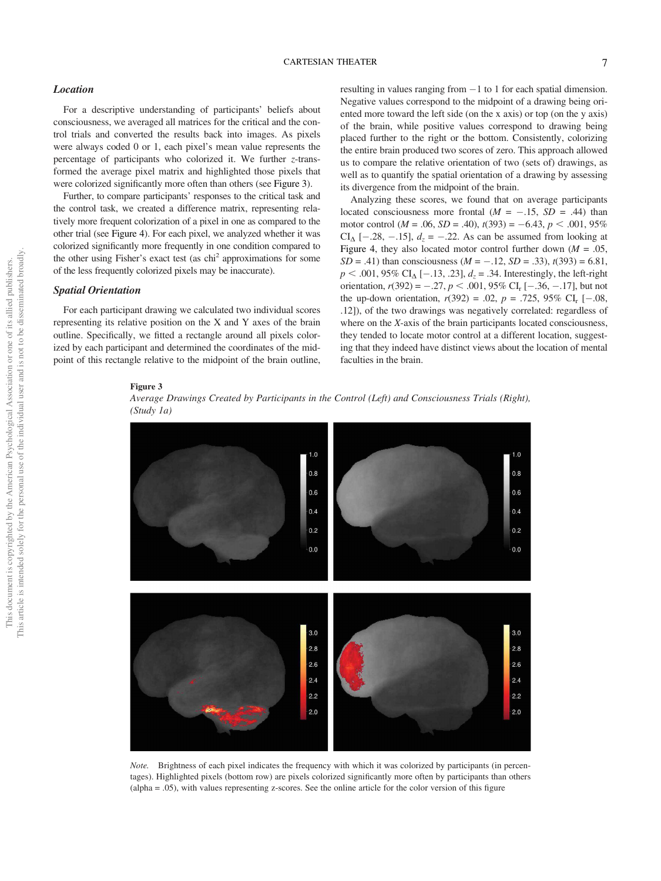#### Location

For a descriptive understanding of participants' beliefs about consciousness, we averaged all matrices for the critical and the control trials and converted the results back into images. As pixels were always coded 0 or 1, each pixel's mean value represents the percentage of participants who colorized it. We further *z*-transformed the average pixel matrix and highlighted those pixels that were colorized significantly more often than others (see Figure 3).

Further, to compare participants' responses to the critical task and the control task, we created a difference matrix, representing relatively more frequent colorization of a pixel in one as compared to the other trial (see Figure 4). For each pixel, we analyzed whether it was colorized significantly more frequently in one condition compared to the other using Fisher's exact test (as chi<sup>2</sup> approximations for some of the less frequently colorized pixels may be inaccurate).

## Spatial Orientation

For each participant drawing we calculated two individual scores representing its relative position on the X and Y axes of the brain outline. Specifically, we fitted a rectangle around all pixels colorized by each participant and determined the coordinates of the midpoint of this rectangle relative to the midpoint of the brain outline, resulting in values ranging from  $-1$  to 1 for each spatial dimension. Negative values correspond to the midpoint of a drawing being oriented more toward the left side (on the x axis) or top (on the y axis) of the brain, while positive values correspond to drawing being placed further to the right or the bottom. Consistently, colorizing the entire brain produced two scores of zero. This approach allowed us to compare the relative orientation of two (sets of) drawings, as well as to quantify the spatial orientation of a drawing by assessing its divergence from the midpoint of the brain.

Analyzing these scores, we found that on average participants located consciousness more frontal  $(M = -.15, SD = .44)$  than motor control ( $M = .06$ ,  $SD = .40$ ),  $t(393) = -6.43$ ,  $p < .001$ ,  $95\%$ CI<sub> $\Delta$ </sub> [-.28, -.15],  $d_z$  = -.22. As can be assumed from looking at Figure 4, they also located motor control further down  $(M = .05)$ , *SD* = .41) than consciousness ( $M = -.12$ , *SD* = .33),  $t(393) = 6.81$ ,  $p < .001, 95\% \text{ CI}_{\Delta} [-.13, .23], d_z = .34.$  Interestingly, the left-right orientation,  $r(392) = -.27$ ,  $p < .001$ , 95% CI<sub>r</sub> [-.36, -.17], but not the up-down orientation,  $r(392) = .02$ ,  $p = .725$ , 95% CI<sub>r</sub> [-.08, .12]), of the two drawings was negatively correlated: regardless of where on the *X*-axis of the brain participants located consciousness, they tended to locate motor control at a different location, suggesting that they indeed have distinct views about the location of mental faculties in the brain.

 $1.0$ 

 $0.8$  $0.6$ 

 $0.4$ 

#### Figure 3

*Average Drawings Created by Participants in the Control (Left) and Consciousness Trials (Right), (Study 1a)*

 $1.0$ 

 $0.8$ 

 $0.6$ 

 $0.4$ 

 $0.2$  $0.2$  $0.0$  $0.0$  $3.0$  $3.0$  $2.8$  $2.8$  $2.6$  $2.6$  $2.4$  $2.4$  $2.2$  $2.2$  $2.0$  $2.0$ *Note.* Brightness of each pixel indicates the frequency with which it was colorized by participants (in percen-

tages). Highlighted pixels (bottom row) are pixels colorized significantly more often by participants than others (alpha = .05), with values representing z-scores. See the online article for the color version of this figure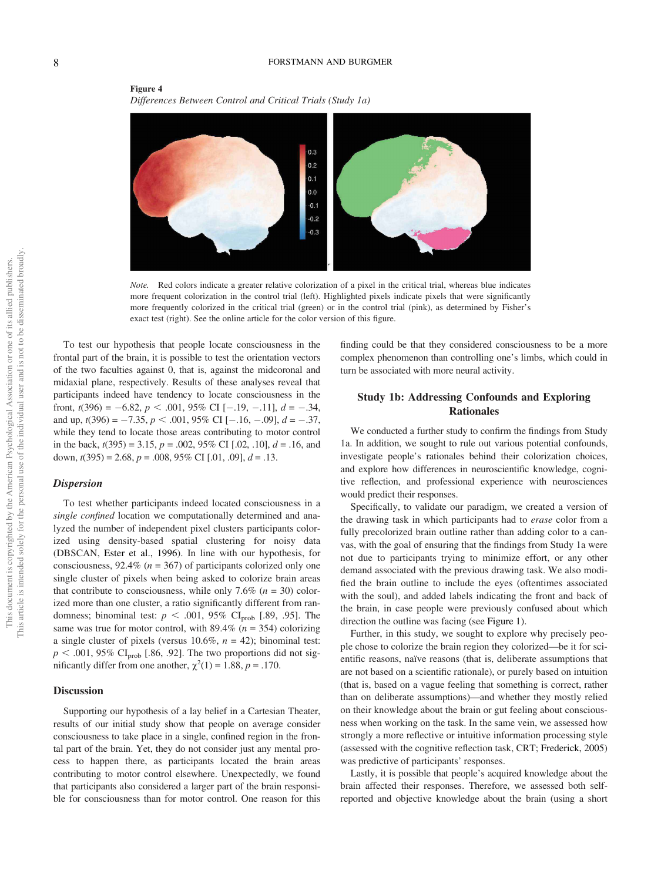

## Figure 4 *Differences Between Control and Critical Trials (Study 1a)*

*Note.* Red colors indicate a greater relative colorization of a pixel in the critical trial, whereas blue indicates more frequent colorization in the control trial (left). Highlighted pixels indicate pixels that were significantly more frequently colorized in the critical trial (green) or in the control trial (pink), as determined by Fisher's exact test (right). See the online article for the color version of this figure.

To test our hypothesis that people locate consciousness in the frontal part of the brain, it is possible to test the orientation vectors of the two faculties against 0, that is, against the midcoronal and midaxial plane, respectively. Results of these analyses reveal that participants indeed have tendency to locate consciousness in the front,  $t(396) = -6.82$ ,  $p < .001$ ,  $95\%$  CI [-.19, -.11],  $d = -.34$ , and up,  $t(396) = -7.35$ ,  $p < .001$ ,  $95\%$  CI [-.16, -.09],  $d = -.37$ , while they tend to locate those areas contributing to motor control in the back, *t*(395) = 3.15, *p* = .002, 95% CI [.02, .10], *d* = .16, and down, *t*(395) = 2.68, *p* = .008, 95% CI [.01, .09], *d* = .13.

#### Dispersion

To test whether participants indeed located consciousness in a *single con*fi*ned* location we computationally determined and analyzed the number of independent pixel clusters participants colorized using density-based spatial clustering for noisy data (DBSCAN, Ester et al., 1996). In line with our hypothesis, for consciousness, 92.4% (*n* = 367) of participants colorized only one single cluster of pixels when being asked to colorize brain areas that contribute to consciousness, while only 7.6%  $(n = 30)$  colorized more than one cluster, a ratio significantly different from randomness; binominal test:  $p < .001$ , 95% CI<sub>prob</sub> [.89, .95]. The same was true for motor control, with  $89.4\%$  ( $n = 354$ ) colorizing a single cluster of pixels (versus  $10.6\%$ ,  $n = 42$ ); binominal test:  $p < .001$ , 95% CI<sub>prob</sub> [.86, .92]. The two proportions did not significantly differ from one another,  $\chi^2(1) = 1.88$ ,  $p = .170$ .

## **Discussion**

Supporting our hypothesis of a lay belief in a Cartesian Theater, results of our initial study show that people on average consider consciousness to take place in a single, confined region in the frontal part of the brain. Yet, they do not consider just any mental process to happen there, as participants located the brain areas contributing to motor control elsewhere. Unexpectedly, we found that participants also considered a larger part of the brain responsible for consciousness than for motor control. One reason for this finding could be that they considered consciousness to be a more complex phenomenon than controlling one's limbs, which could in turn be associated with more neural activity.

## Study 1b: Addressing Confounds and Exploring **Rationales**

We conducted a further study to confirm the findings from Study 1a. In addition, we sought to rule out various potential confounds, investigate people's rationales behind their colorization choices, and explore how differences in neuroscientific knowledge, cognitive reflection, and professional experience with neurosciences would predict their responses.

Specifically, to validate our paradigm, we created a version of the drawing task in which participants had to *erase* color from a fully precolorized brain outline rather than adding color to a canvas, with the goal of ensuring that the findings from Study 1a were not due to participants trying to minimize effort, or any other demand associated with the previous drawing task. We also modified the brain outline to include the eyes (oftentimes associated with the soul), and added labels indicating the front and back of the brain, in case people were previously confused about which direction the outline was facing (see Figure 1).

Further, in this study, we sought to explore why precisely people chose to colorize the brain region they colorized—be it for scientific reasons, naïve reasons (that is, deliberate assumptions that are not based on a scientific rationale), or purely based on intuition (that is, based on a vague feeling that something is correct, rather than on deliberate assumptions)—and whether they mostly relied on their knowledge about the brain or gut feeling about consciousness when working on the task. In the same vein, we assessed how strongly a more reflective or intuitive information processing style (assessed with the cognitive reflection task, CRT; Frederick, 2005) was predictive of participants' responses.

Lastly, it is possible that people's acquired knowledge about the brain affected their responses. Therefore, we assessed both selfreported and objective knowledge about the brain (using a short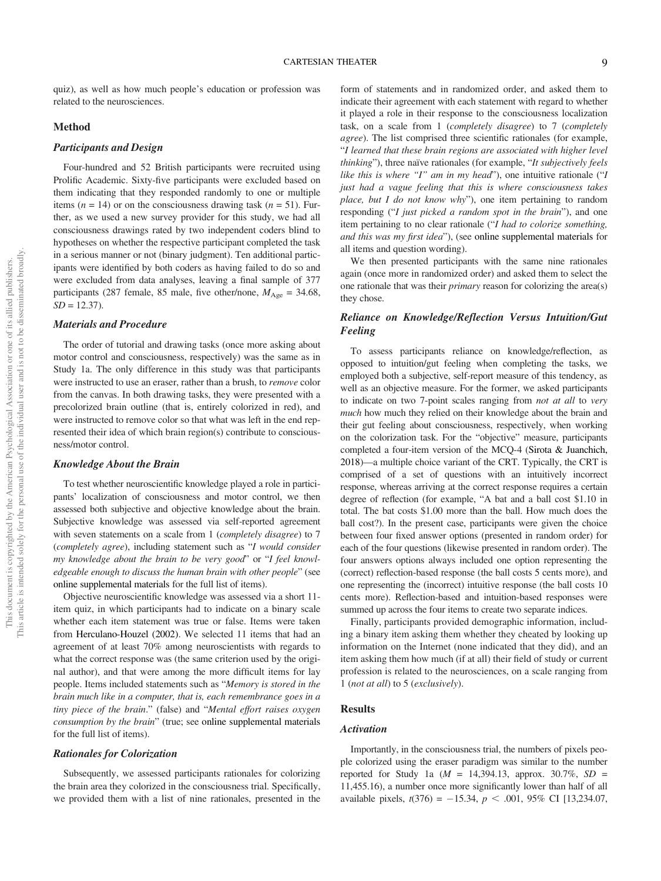quiz), as well as how much people's education or profession was related to the neurosciences.

## Method

## Participants and Design

Four-hundred and 52 British participants were recruited using Prolific Academic. Sixty-five participants were excluded based on them indicating that they responded randomly to one or multiple items ( $n = 14$ ) or on the consciousness drawing task ( $n = 51$ ). Further, as we used a new survey provider for this study, we had all consciousness drawings rated by two independent coders blind to hypotheses on whether the respective participant completed the task in a serious manner or not (binary judgment). Ten additional participants were identified by both coders as having failed to do so and were excluded from data analyses, leaving a final sample of 377 participants (287 female, 85 male, five other/none,  $M_{\text{Age}} = 34.68$ ,  $SD = 12.37$ .

## Materials and Procedure

The order of tutorial and drawing tasks (once more asking about motor control and consciousness, respectively) was the same as in Study 1a. The only difference in this study was that participants were instructed to use an eraser, rather than a brush, to *remove* color from the canvas. In both drawing tasks, they were presented with a precolorized brain outline (that is, entirely colorized in red), and were instructed to remove color so that what was left in the end represented their idea of which brain region(s) contribute to consciousness/motor control.

### Knowledge About the Brain

To test whether neuroscientific knowledge played a role in participants' localization of consciousness and motor control, we then assessed both subjective and objective knowledge about the brain. Subjective knowledge was assessed via self-reported agreement with seven statements on a scale from 1 (*completely disagree*) to 7 (*completely agree*), including statement such as "*I would consider my knowledge about the brain to be very good*" or "*I feel knowledgeable enough to discuss the human brain with other people*" (see online supplemental materials for the full list of items).

Objective neuroscientific knowledge was assessed via a short 11 item quiz, in which participants had to indicate on a binary scale whether each item statement was true or false. Items were taken from Herculano-Houzel (2002). We selected 11 items that had an agreement of at least 70% among neuroscientists with regards to what the correct response was (the same criterion used by the original author), and that were among the more difficult items for lay people. Items included statements such as "*Memory is stored in the brain much like in a computer, that is, each remembrance goes in a tiny piece of the brain*." (false) and "*Mental effort raises oxygen consumption by the brain*" (true; see online supplemental materials for the full list of items).

#### Rationales for Colorization

Subsequently, we assessed participants rationales for colorizing the brain area they colorized in the consciousness trial. Specifically, we provided them with a list of nine rationales, presented in the

form of statements and in randomized order, and asked them to indicate their agreement with each statement with regard to whether it played a role in their response to the consciousness localization task, on a scale from 1 (*completely disagree*) to 7 (*completely agree*). The list comprised three scientific rationales (for example, "*I learned that these brain regions are associated with higher level thinking*"), three naïve rationales (for example, "*It subjectively feels like this is where* "*I*" *am in my head*"), one intuitive rationale ("*I just had a vague feeling that this is where consciousness takes place, but I do not know why*"), one item pertaining to random responding ("*I just picked a random spot in the brain*"), and one item pertaining to no clear rationale ("*I had to colorize something, and this was my* fi*rst idea*"), (see online supplemental materials for all items and question wording).

We then presented participants with the same nine rationales again (once more in randomized order) and asked them to select the one rationale that was their *primary* reason for colorizing the area(s) they chose.

## Reliance on Knowledge/Reflection Versus Intuition/Gut Feeling

To assess participants reliance on knowledge/reflection, as opposed to intuition/gut feeling when completing the tasks, we employed both a subjective, self-report measure of this tendency, as well as an objective measure. For the former, we asked participants to indicate on two 7-point scales ranging from *not at all* to *very much* how much they relied on their knowledge about the brain and their gut feeling about consciousness, respectively, when working on the colorization task. For the "objective" measure, participants completed a four-item version of the MCQ-4 (Sirota & Juanchich, 2018)—a multiple choice variant of the CRT. Typically, the CRT is comprised of a set of questions with an intuitively incorrect response, whereas arriving at the correct response requires a certain degree of reflection (for example, "A bat and a ball cost \$1.10 in total. The bat costs \$1.00 more than the ball. How much does the ball cost?). In the present case, participants were given the choice between four fixed answer options (presented in random order) for each of the four questions (likewise presented in random order). The four answers options always included one option representing the (correct) reflection-based response (the ball costs 5 cents more), and one representing the (incorrect) intuitive response (the ball costs 10 cents more). Reflection-based and intuition-based responses were summed up across the four items to create two separate indices.

Finally, participants provided demographic information, including a binary item asking them whether they cheated by looking up information on the Internet (none indicated that they did), and an item asking them how much (if at all) their field of study or current profession is related to the neurosciences, on a scale ranging from 1 (*not at all*) to 5 (*exclusively*).

#### Results

#### Activation

Importantly, in the consciousness trial, the numbers of pixels people colorized using the eraser paradigm was similar to the number reported for Study 1a (*M* = 14,394.13, approx. 30.7%, *SD* = 11,455.16), a number once more significantly lower than half of all available pixels,  $t(376) = -15.34$ ,  $p < .001$ , 95% CI [13,234.07,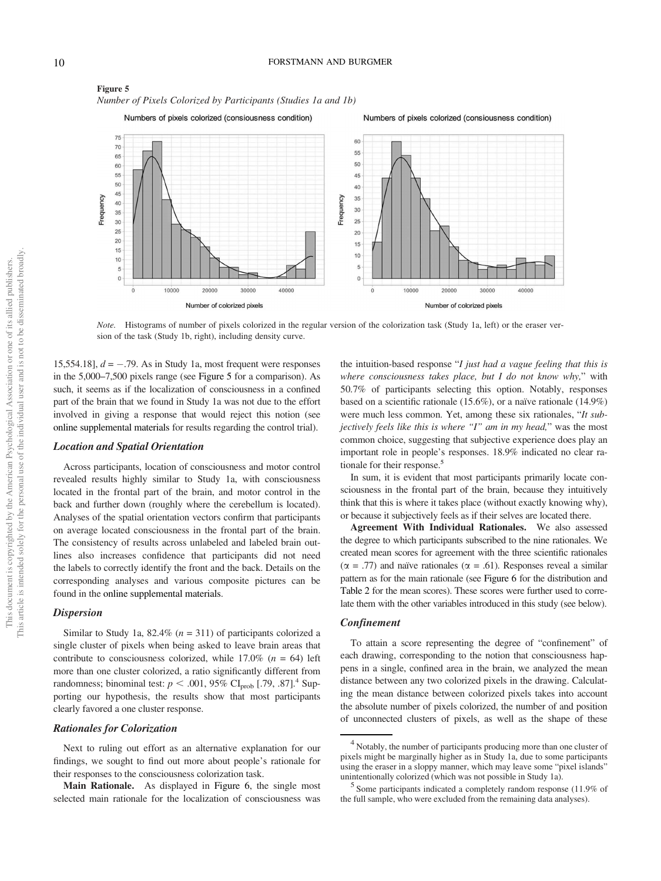

Figure 5 *Number of Pixels Colorized by Participants (Studies 1a and 1b)*

*Note.* Histograms of number of pixels colorized in the regular version of the colorization task (Study 1a, left) or the eraser version of the task (Study 1b, right), including density curve.

15,554.18],  $d = -.79$ . As in Study 1a, most frequent were responses in the 5,000–7,500 pixels range (see Figure 5 for a comparison). As such, it seems as if the localization of consciousness in a confined part of the brain that we found in Study 1a was not due to the effort involved in giving a response that would reject this notion (see online supplemental materials for results regarding the control trial).

## Location and Spatial Orientation

Across participants, location of consciousness and motor control revealed results highly similar to Study 1a, with consciousness located in the frontal part of the brain, and motor control in the back and further down (roughly where the cerebellum is located). Analyses of the spatial orientation vectors confirm that participants on average located consciousness in the frontal part of the brain. The consistency of results across unlabeled and labeled brain outlines also increases confidence that participants did not need the labels to correctly identify the front and the back. Details on the corresponding analyses and various composite pictures can be found in the online supplemental materials.

#### Dispersion

Similar to Study 1a, 82.4% (*n* = 311) of participants colorized a single cluster of pixels when being asked to leave brain areas that contribute to consciousness colorized, while  $17.0\%$  ( $n = 64$ ) left more than one cluster colorized, a ratio significantly different from randomness; binominal test:  $p < .001$ , 95% CI<sub>prob</sub> [.79, .87].<sup>4</sup> Supporting our hypothesis, the results show that most participants clearly favored a one cluster response.

## Rationales for Colorization

Next to ruling out effort as an alternative explanation for our findings, we sought to find out more about people's rationale for their responses to the consciousness colorization task.

Main Rationale. As displayed in Figure 6, the single most selected main rationale for the localization of consciousness was

the intuition-based response "*I just had a vague feeling that this is where consciousness takes place, but I do not know why,*" with 50.7% of participants selecting this option. Notably, responses based on a scientific rationale (15.6%), or a naïve rationale (14.9%) were much less common. Yet, among these six rationales, "*It subjectively feels like this is where* "*I*" *am in my head,*" was the most common choice, suggesting that subjective experience does play an important role in people's responses. 18.9% indicated no clear rationale for their response.<sup>5</sup>

In sum, it is evident that most participants primarily locate consciousness in the frontal part of the brain, because they intuitively think that this is where it takes place (without exactly knowing why), or because it subjectively feels as if their selves are located there.

Agreement With Individual Rationales. We also assessed the degree to which participants subscribed to the nine rationales. We created mean scores for agreement with the three scientific rationales  $(\alpha = .77)$  and naïve rationales ( $\alpha = .61$ ). Responses reveal a similar pattern as for the main rationale (see Figure 6 for the distribution and Table 2 for the mean scores). These scores were further used to correlate them with the other variables introduced in this study (see below).

#### Confinement

To attain a score representing the degree of "confinement" of each drawing, corresponding to the notion that consciousness happens in a single, confined area in the brain, we analyzed the mean distance between any two colorized pixels in the drawing. Calculating the mean distance between colorized pixels takes into account the absolute number of pixels colorized, the number of and position of unconnected clusters of pixels, as well as the shape of these

<sup>&</sup>lt;sup>4</sup> Notably, the number of participants producing more than one cluster of pixels might be marginally higher as in Study 1a, due to some participants using the eraser in a sloppy manner, which may leave some "pixel islands" unintentionally colorized (which was not possible in Study 1a).

<sup>5</sup> Some participants indicated a completely random response (11.9% of the full sample, who were excluded from the remaining data analyses).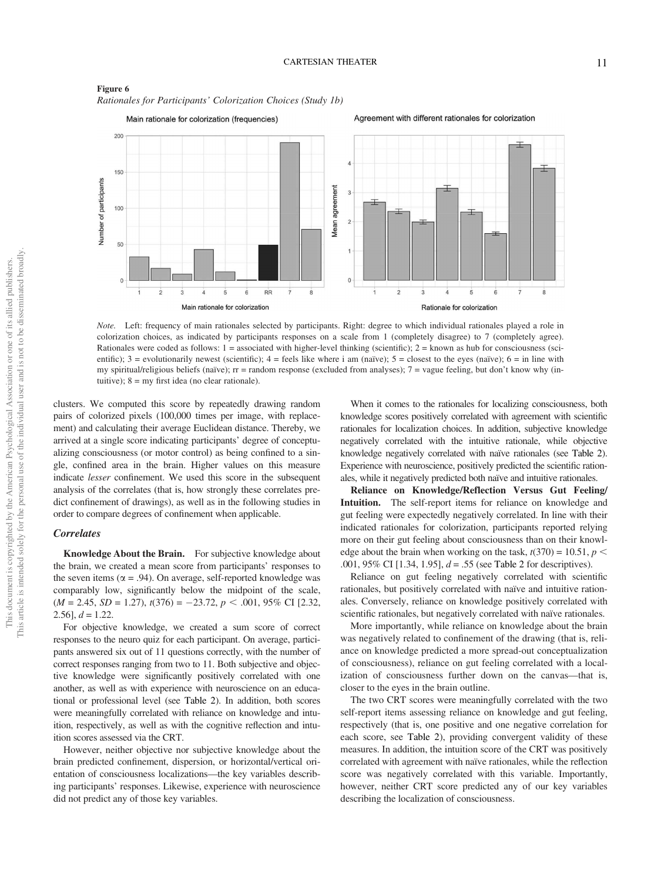

Figure 6 *Rationales for Participants*' *Colorization Choices (Study 1b)*

*Note.* Left: frequency of main rationales selected by participants. Right: degree to which individual rationales played a role in colorization choices, as indicated by participants responses on a scale from 1 (completely disagree) to 7 (completely agree). Rationales were coded as follows:  $1 =$  associated with higher-level thinking (scientific);  $2 =$  known as hub for consciousness (scientific);  $3 =$  evolutionarily newest (scientific);  $4 =$  feels like where i am (naïve);  $5 =$  closest to the eyes (naïve);  $6 =$  in line with my spiritual/religious beliefs (naïve); rr = random response (excluded from analyses); 7 = vague feeling, but don't know why (intuitive);  $8 = \text{my}$  first idea (no clear rationale).

clusters. We computed this score by repeatedly drawing random pairs of colorized pixels (100,000 times per image, with replacement) and calculating their average Euclidean distance. Thereby, we arrived at a single score indicating participants' degree of conceptualizing consciousness (or motor control) as being confined to a single, confined area in the brain. Higher values on this measure indicate *lesser* confinement. We used this score in the subsequent analysis of the correlates (that is, how strongly these correlates predict confinement of drawings), as well as in the following studies in order to compare degrees of confinement when applicable.

## **Correlates**

Knowledge About the Brain. For subjective knowledge about the brain, we created a mean score from participants' responses to the seven items ( $\alpha$  = .94). On average, self-reported knowledge was comparably low, significantly below the midpoint of the scale,  $(M = 2.45, SD = 1.27), t(376) = -23.72, p < .001, 95\% \text{ CI}$  [2.32, 2.56],  $d = 1.22$ .

For objective knowledge, we created a sum score of correct responses to the neuro quiz for each participant. On average, participants answered six out of 11 questions correctly, with the number of correct responses ranging from two to 11. Both subjective and objective knowledge were significantly positively correlated with one another, as well as with experience with neuroscience on an educational or professional level (see Table 2). In addition, both scores were meaningfully correlated with reliance on knowledge and intuition, respectively, as well as with the cognitive reflection and intuition scores assessed via the CRT.

However, neither objective nor subjective knowledge about the brain predicted confinement, dispersion, or horizontal/vertical orientation of consciousness localizations—the key variables describing participants' responses. Likewise, experience with neuroscience did not predict any of those key variables.

When it comes to the rationales for localizing consciousness, both knowledge scores positively correlated with agreement with scientific rationales for localization choices. In addition, subjective knowledge negatively correlated with the intuitive rationale, while objective knowledge negatively correlated with naïve rationales (see Table 2). Experience with neuroscience, positively predicted the scientific rationales, while it negatively predicted both naïve and intuitive rationales.

Reliance on Knowledge/Reflection Versus Gut Feeling/ Intuition. The self-report items for reliance on knowledge and gut feeling were expectedly negatively correlated. In line with their indicated rationales for colorization, participants reported relying more on their gut feeling about consciousness than on their knowledge about the brain when working on the task,  $t(370) = 10.51$ ,  $p <$ .001, 95% CI [1.34, 1.95], *d* = .55 (see Table 2 for descriptives).

Reliance on gut feeling negatively correlated with scientific rationales, but positively correlated with naïve and intuitive rationales. Conversely, reliance on knowledge positively correlated with scientific rationales, but negatively correlated with naïve rationales.

More importantly, while reliance on knowledge about the brain was negatively related to confinement of the drawing (that is, reliance on knowledge predicted a more spread-out conceptualization of consciousness), reliance on gut feeling correlated with a localization of consciousness further down on the canvas—that is, closer to the eyes in the brain outline.

The two CRT scores were meaningfully correlated with the two self-report items assessing reliance on knowledge and gut feeling, respectively (that is, one positive and one negative correlation for each score, see Table 2), providing convergent validity of these measures. In addition, the intuition score of the CRT was positively correlated with agreement with naïve rationales, while the reflection score was negatively correlated with this variable. Importantly, however, neither CRT score predicted any of our key variables describing the localization of consciousness.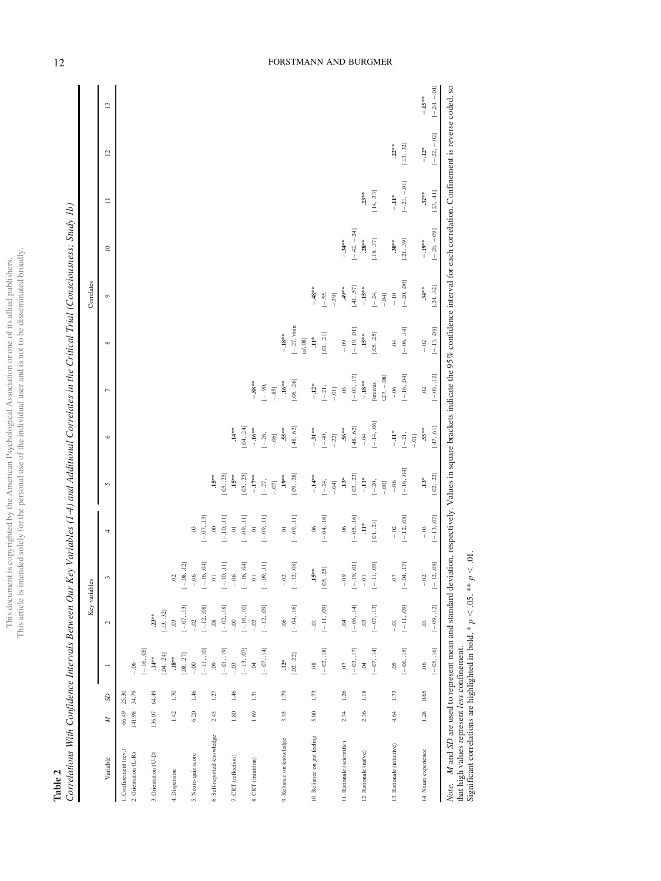This document is copyrighted by the American Psychological Association or one of its allied publishers.<br>This article is intended solely for the personal use of the individual user and is not to be disseminated broadly. This article is intended solely for the personal use of the individual user and is not to be disseminated broadly.This document is copyrighted by the American Psychological Association or one of its allied publishers.

**Table 2**<br>Correlations With Confidence Intervals Between Our Key Variables (1-4) and Additional Correlates in the Critical Trial (Consciousness; Study 1b) Correlations With Confidence Intervals Between Our Key Variables (1-4) and Additional Correlates in the Critical Trial (Consciousness; Study 1b)

|                                                     |                 |                |                                     | Key variables             |                                            |                                           |                                                                                                                                                                                                 |                         |                   |                      | Correlates    |                         |                |                |                 |
|-----------------------------------------------------|-----------------|----------------|-------------------------------------|---------------------------|--------------------------------------------|-------------------------------------------|-------------------------------------------------------------------------------------------------------------------------------------------------------------------------------------------------|-------------------------|-------------------|----------------------|---------------|-------------------------|----------------|----------------|-----------------|
| Variable                                            | z               | S              | $\overline{ }$                      | 2                         | 3                                          | 4                                         | 5                                                                                                                                                                                               | $\circ$                 | $\overline{ }$    | ${}^{\infty}$        | $\circ$       | $\supseteq$             | $\equiv$       | $\overline{c}$ | $\overline{13}$ |
| 1. Confinement (rev.)<br>2. Orientation (L-R)       | 66.49<br>141.98 | 25.30<br>34.79 | $-16,05$<br>$-0.06$                 |                           |                                            |                                           |                                                                                                                                                                                                 |                         |                   |                      |               |                         |                |                |                 |
| 3. Orientation (U-D)                                | 136.07          | 64.49          | [.04, .24]<br>$14***$               | [.13, .32]<br>$23**$      |                                            |                                           |                                                                                                                                                                                                 |                         |                   |                      |               |                         |                |                |                 |
| 4. Dispersion                                       | 1.42            | 1.70           | $[.08, .27]$<br>$\mathbf{.18}^{**}$ | $[-07, 13]$<br>03         | $\left[-.08, .12\right]$<br>$\overline{0}$ |                                           |                                                                                                                                                                                                 |                         |                   |                      |               |                         |                |                |                 |
| 5. Neuro-quiz score                                 | $6.20$          | 1.46           | $-0.0$                              | $-02$                     | $-06$                                      | 03                                        |                                                                                                                                                                                                 |                         |                   |                      |               |                         |                |                |                 |
| 6. Self-reported knowledge                          | 2.45            | 1.27           | $[-.11, .10]$<br>$_{00}$            | $[-.12, .08]$<br>$_{.08}$ | $[-.16, .04]$<br>$\overline{a}$            | $[-.07, .13]$<br>00                       | $.15**$                                                                                                                                                                                         |                         |                   |                      |               |                         |                |                |                 |
|                                                     |                 |                | $-01, 19$ ]                         | $[-.02, .18]$             | $[-.10, .11]$                              | $[-.10, .11]$                             | [.05, .25]                                                                                                                                                                                      |                         |                   |                      |               |                         |                |                |                 |
| 7. CRT (reflection)                                 | $1.80\,$        | 1.46           | $[-.13, .07]$<br>$-0.03$            | $[-.10, .10]$<br>$-0.0$   | $-.06$<br>[ $-.16, .04$ ]                  | $\overline{\phantom{0}}$                  | $.15***$                                                                                                                                                                                        | $.14***$                |                   |                      |               |                         |                |                |                 |
| 8. CRT (intuition)                                  | 1.69            | $1.31\,$       | 04                                  | $-0.0$                    | $\overline{\phantom{0}}$                   | $[-.09, .11]$<br>$\overline{\phantom{0}}$ | [.05, .25]<br>$-.17**$                                                                                                                                                                          | [.04, .24]<br>$-.16***$ | $-0.88**$         |                      |               |                         |                |                |                 |
|                                                     |                 |                | $[-.07, .14]$                       | $[-.12, .09]$             | $[-.09, 11]$                               | $[-.09, .11]$                             | $[-27,$                                                                                                                                                                                         | $[-.26,$                | $[-.90,$          |                      |               |                         |                |                |                 |
|                                                     |                 |                |                                     |                           |                                            |                                           | $-.07]$                                                                                                                                                                                         | $-.06]$                 | $-.85]$           |                      |               |                         |                |                |                 |
| 9. Reliance on knowledge                            | 3.35            | 1.79           | $.12*$                              | $\overline{0}$            | $-.02\,$                                   | $\overline{a}$                            | $.19***$                                                                                                                                                                                        | $.55***$                | $.16***$          | $-.18***$            |               |                         |                |                |                 |
|                                                     |                 |                | [.02, .22]                          | $[-.04, .16]$             | $[-.12, .08]$                              | $[-.09, .11]$                             | [.09, .28]                                                                                                                                                                                      | [.48, .62]              | [.06, .26]        | $[-.27, \text{win}]$ |               |                         |                |                |                 |
|                                                     |                 |                |                                     |                           |                                            |                                           |                                                                                                                                                                                                 |                         |                   | us\.08]              |               |                         |                |                |                 |
| 10. Reliance on gut feeling                         | $5.00$          | 1.73           | $_{.08}$                            | $-0$                      | $.15***$                                   | 06                                        | $-14**$                                                                                                                                                                                         | $-31**$                 | $-12*$            | $\ddot{H}$           | $-48**$       |                         |                |                |                 |
|                                                     |                 |                | $[-.02, .18]$                       | $[-.11, .09]$             | [.05, .25]                                 | $[-.04, .16]$                             | $[-24,$                                                                                                                                                                                         | $[-.40,$                | $[-.21,$          | [.01, .21]           | $[-.55,$      |                         |                |                |                 |
|                                                     |                 |                |                                     |                           |                                            |                                           | $-0.04$                                                                                                                                                                                         | $-.22]$                 | $-0.01$           |                      | $-.39]$       |                         |                |                |                 |
| 11. Rationale (scientific)                          | 2.34            | 1.26           | $\overline{0}$                      | $\ddot{c}$                | $-0.09$                                    | 06                                        | $\mathbf{.13}^{*}$                                                                                                                                                                              | $.56**$                 | $\overline{08}$   | $-0.09$              | $49**$        | $-34**$                 |                |                |                 |
|                                                     |                 |                | $[-03, 17]$                         | $[-.06, .14]$             | $[-.19, \, 01]$                            | $[-.05, .16]$                             | [.03, .23]                                                                                                                                                                                      | [.48, .62]              | $[-03, 17]$       | $[-.19, .01]$        | [.41, .57]    | $[-.42, -.24]$          |                |                |                 |
| 12. Rationale (naïve)                               | 2.36            | 1.18           | $\ddot{c}$                          | $\overline{0}$            | $\overline{10}$ –                          | $\ddot{1}$                                | $\ddot{=}$                                                                                                                                                                                      | $-0.4$                  | $-.18***$         | $.15***$             | $-15**$       | $.28***$                | $23***$        |                |                 |
|                                                     |                 |                | $[-.07, .14]$                       | $[-.07, .13]$             | $[-.11, .09]$                              | [.01, .21]                                | $[-20,$                                                                                                                                                                                         | $[-.14, .06]$           | $\upharpoonright$ | [.05, .25]           | $[-.24,$      | $\left[ .18,.37\right]$ | [.14, .33]     |                |                 |
|                                                     |                 |                |                                     |                           |                                            |                                           | $-0.00$                                                                                                                                                                                         |                         | $27, -08$         |                      | $-0.04$       |                         |                |                |                 |
| 13. Rationale (intuitive)                           | 4.64            | 1.73           | 05                                  | $-0$                      | $\mathcal{L}$                              | $-0.02$                                   | $-0.06$                                                                                                                                                                                         | $\ddot{=}$              | $-0.06$           | ð                    | $-10$         | $30**$                  | $\frac{4}{11}$ | $.22***$       |                 |
|                                                     |                 |                | $[-.06, .15]$                       | $[-.11, .09]$             | $[-.04, .17]$                              | $[-.12, .08]$                             | $[-.16, .04]$                                                                                                                                                                                   | $[-.21,$<br>$-0.01$     | $[-.16, .04]$     | $[-.06, .14]$        | $[-.20, .00]$ | $[.21, .39]$            | $[-21, -01]$   | [.13, .32]     |                 |
| 14. Neuro experience                                | 1.28            | 0.65           | 06                                  | $\overline{\phantom{0}}$  | $-.02$                                     | $-0.03$                                   | $.13*$                                                                                                                                                                                          | .55**                   | $\ddot{\circ}$    | $-0.02$              | $34**$        | $-.19***$               | $.32***$       | $-12*$         | $-.15***$       |
|                                                     |                 |                | $[-.05, .16]$                       | $[-.09, .12]$             | $[-.12, .08]$                              | $[-.13, .07]$                             | [.02, .22]                                                                                                                                                                                      | $[.47, .61]$            | $[-.08, .12]$     | $[-.13, .08]$        | [.24, .42]    | $[-.28, -.09]$          | [.23, .41]     | $[-.22, -.02]$ | $[-.24, -.04]$  |
| that his induces was an Isaac aan in aan d<br>Note. |                 |                |                                     |                           |                                            |                                           | M and SD are used to represent mean and standard deviation, respectively. Values in square brackets indicate the 95% confidence interval for each correlation. Confinement is reverse coded, so |                         |                   |                      |               |                         |                |                |                 |

that high values represent *less* confinement.

that high values represent *less* confinement.<br>Significant correlations are highlighted in bold,  $* p < 0.05$ .<br> $* * p < 0.01$ . Significant correlations are highlighted in bold, \*  $p < .05$ . \*\*  $p < .01$ .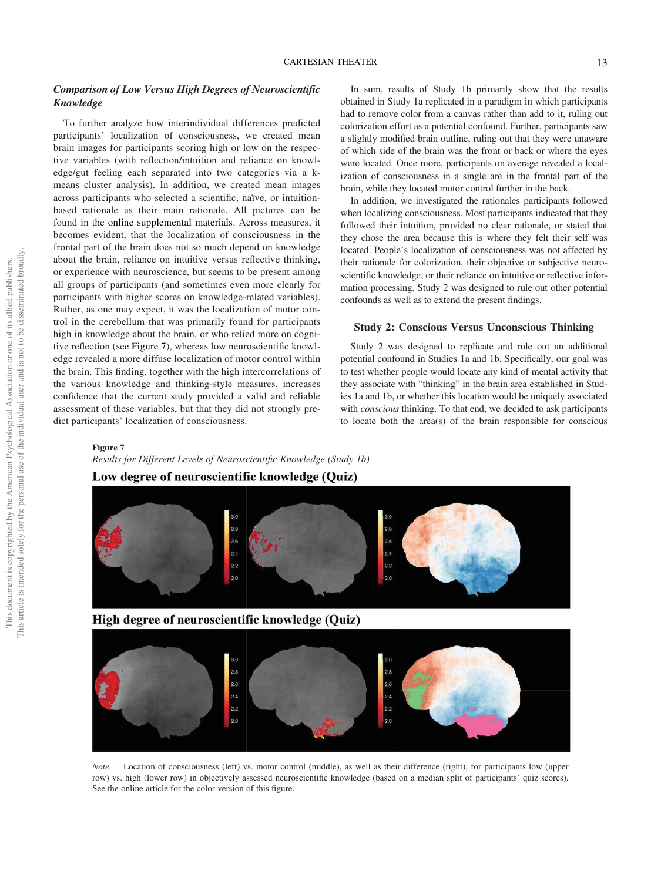## Comparison of Low Versus High Degrees of Neuroscientific Knowledge

To further analyze how interindividual differences predicted participants' localization of consciousness, we created mean brain images for participants scoring high or low on the respective variables (with reflection/intuition and reliance on knowledge/gut feeling each separated into two categories via a kmeans cluster analysis). In addition, we created mean images across participants who selected a scientific, naïve, or intuitionbased rationale as their main rationale. All pictures can be found in the online supplemental materials. Across measures, it becomes evident, that the localization of consciousness in the frontal part of the brain does not so much depend on knowledge about the brain, reliance on intuitive versus reflective thinking, or experience with neuroscience, but seems to be present among all groups of participants (and sometimes even more clearly for participants with higher scores on knowledge-related variables). Rather, as one may expect, it was the localization of motor control in the cerebellum that was primarily found for participants high in knowledge about the brain, or who relied more on cognitive reflection (see Figure 7), whereas low neuroscientific knowledge revealed a more diffuse localization of motor control within the brain. This finding, together with the high intercorrelations of the various knowledge and thinking-style measures, increases confidence that the current study provided a valid and reliable assessment of these variables, but that they did not strongly predict participants' localization of consciousness.

In sum, results of Study 1b primarily show that the results obtained in Study 1a replicated in a paradigm in which participants had to remove color from a canvas rather than add to it, ruling out colorization effort as a potential confound. Further, participants saw a slightly modified brain outline, ruling out that they were unaware of which side of the brain was the front or back or where the eyes were located. Once more, participants on average revealed a localization of consciousness in a single are in the frontal part of the brain, while they located motor control further in the back.

In addition, we investigated the rationales participants followed when localizing consciousness. Most participants indicated that they followed their intuition, provided no clear rationale, or stated that they chose the area because this is where they felt their self was located. People's localization of consciousness was not affected by their rationale for colorization, their objective or subjective neuroscientific knowledge, or their reliance on intuitive or reflective information processing. Study 2 was designed to rule out other potential confounds as well as to extend the present findings.

### Study 2: Conscious Versus Unconscious Thinking

Study 2 was designed to replicate and rule out an additional potential confound in Studies 1a and 1b. Specifically, our goal was to test whether people would locate any kind of mental activity that they associate with "thinking" in the brain area established in Studies 1a and 1b, or whether this location would be uniquely associated with *conscious* thinking. To that end, we decided to ask participants to locate both the area(s) of the brain responsible for conscious

#### Figure 7

*Results for Different Levels of Neuroscienti*fi*c Knowledge (Study 1b)* Low degree of neuroscientific knowledge (Quiz)



 $30$  $2.8$ 2.8  $-2.6$ 2.6  $2.4$  $2.4$  $2.2$  $2.2$  $20$ 

*Note.* Location of consciousness (left) vs. motor control (middle), as well as their difference (right), for participants low (upper row) vs. high (lower row) in objectively assessed neuroscientific knowledge (based on a median split of participants' quiz scores). See the online article for the color version of this figure.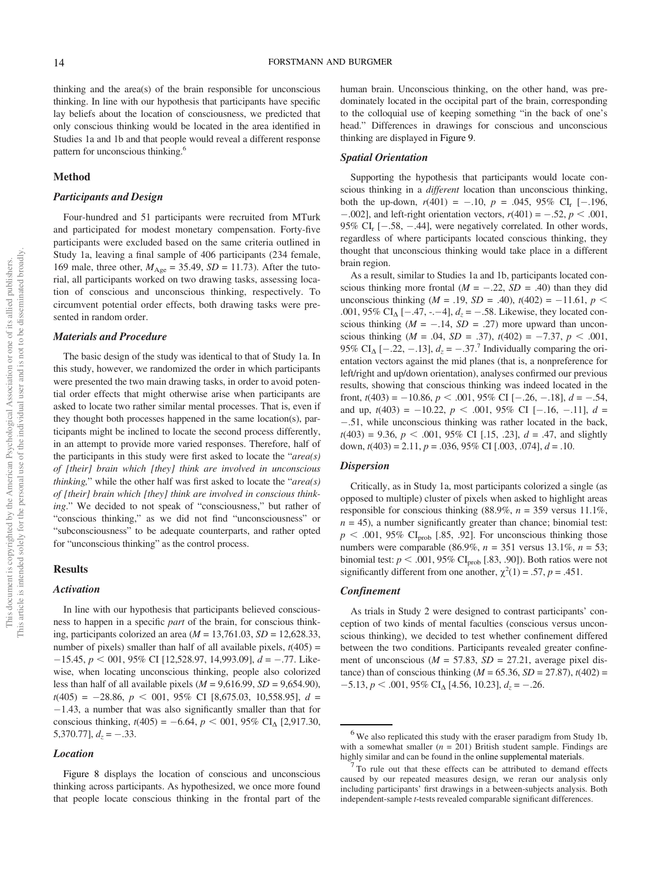thinking and the area(s) of the brain responsible for unconscious thinking. In line with our hypothesis that participants have specific lay beliefs about the location of consciousness, we predicted that only conscious thinking would be located in the area identified in Studies 1a and 1b and that people would reveal a different response pattern for unconscious thinking.<sup>6</sup>

## Method

#### Participants and Design

Four-hundred and 51 participants were recruited from MTurk and participated for modest monetary compensation. Forty-five participants were excluded based on the same criteria outlined in Study 1a, leaving a final sample of 406 participants (234 female, 169 male, three other,  $M_{\text{Age}} = 35.49$ ,  $SD = 11.73$ ). After the tutorial, all participants worked on two drawing tasks, assessing location of conscious and unconscious thinking, respectively. To circumvent potential order effects, both drawing tasks were presented in random order.

## Materials and Procedure

The basic design of the study was identical to that of Study 1a. In this study, however, we randomized the order in which participants were presented the two main drawing tasks, in order to avoid potential order effects that might otherwise arise when participants are asked to locate two rather similar mental processes. That is, even if they thought both processes happened in the same location(s), participants might be inclined to locate the second process differently, in an attempt to provide more varied responses. Therefore, half of the participants in this study were first asked to locate the "*area(s) of [their] brain which [they] think are involved in unconscious thinking,*" while the other half was first asked to locate the "*area(s) of [their] brain which [they] think are involved in conscious thinking*." We decided to not speak of "consciousness," but rather of "conscious thinking," as we did not find "unconsciousness" or "subconsciousness" to be adequate counterparts, and rather opted for "unconscious thinking" as the control process.

## Results

#### Activation

In line with our hypothesis that participants believed consciousness to happen in a specific *part* of the brain, for conscious thinking, participants colorized an area (*M* = 13,761.03, *SD* = 12,628.33, number of pixels) smaller than half of all available pixels,  $t(405)$  =  $-15.45$ ,  $p < 001$ , 95% CI [12,528.97, 14,993.09],  $d = -.77$ . Likewise, when locating unconscious thinking, people also colorized less than half of all available pixels ( $M = 9,616.99$ ,  $SD = 9,654.90$ ), *t*(405) = 28.86, *p* , 001, 95% CI [8,675.03, 10,558.95], *d* =  $-1.43$ , a number that was also significantly smaller than that for conscious thinking,  $t(405) = -6.64$ ,  $p < 001$ , 95% CI<sub>A</sub> [2,917.30, 5,370.77],  $d_z = -.33$ .

#### Location

Figure 8 displays the location of conscious and unconscious thinking across participants. As hypothesized, we once more found that people locate conscious thinking in the frontal part of the human brain. Unconscious thinking, on the other hand, was predominately located in the occipital part of the brain, corresponding to the colloquial use of keeping something "in the back of one's head." Differences in drawings for conscious and unconscious thinking are displayed in Figure 9.

#### Spatial Orientation

Supporting the hypothesis that participants would locate conscious thinking in a *different* location than unconscious thinking, both the up-down,  $r(401) = -.10$ ,  $p = .045$ , 95% CI<sub>r</sub> [-.196,  $-0.002$ ], and left-right orientation vectors,  $r(401) = -.52$ ,  $p < .001$ , 95% CI<sub>r</sub> [ $-.58, -.44$ ], were negatively correlated. In other words, regardless of where participants located conscious thinking, they thought that unconscious thinking would take place in a different brain region.

As a result, similar to Studies 1a and 1b, participants located conscious thinking more frontal  $(M = -.22, SD = .40)$  than they did unconscious thinking ( $M = .19$ ,  $SD = .40$ ),  $t(402) = -11.61$ ,  $p <$ .001, 95% CI<sub> $\Delta$ </sub> [-.47, -.-4],  $d_z$  = -.58. Likewise, they located conscious thinking  $(M = -.14, SD = .27)$  more upward than unconscious thinking  $(M = .04, SD = .37)$ ,  $t(402) = -7.37, p < .001$ , 95% CI<sub>A</sub> [-.22, -.13],  $d_z = -.37$ .<sup>7</sup> Individually comparing the orientation vectors against the mid planes (that is, a nonpreference for left/right and up/down orientation), analyses confirmed our previous results, showing that conscious thinking was indeed located in the front,  $t(403) = -10.86$ ,  $p < .001$ ,  $95\%$  CI [ $-.26, -.18$ ],  $d = -.54$ , and up,  $t(403) = -10.22$ ,  $p < .001$ , 95% CI [-.16, -.11],  $d =$ .51, while unconscious thinking was rather located in the back,  $t(403) = 9.36, p < .001, 95\% \text{ CI}$  [.15, .23],  $d = .47$ , and slightly down, *t*(403) = 2.11, *p* = .036, 95% CI [.003, .074], *d* = .10.

#### Dispersion

Critically, as in Study 1a, most participants colorized a single (as opposed to multiple) cluster of pixels when asked to highlight areas responsible for conscious thinking  $(88.9\%, n = 359 \text{ versus } 11.1\%$ ,  $n = 45$ ), a number significantly greater than chance; binomial test:  $p < .001$ , 95% CI<sub>prob</sub> [.85, .92]. For unconscious thinking those numbers were comparable (86.9%, *n =* 351 versus 13.1%, *n* = 53; binomial test:  $p < .001$ , 95% CI<sub>prob</sub> [.83, .90]). Both ratios were not significantly different from one another,  $\chi^2(1) = .57$ ,  $p = .451$ .

## Confinement

As trials in Study 2 were designed to contrast participants' conception of two kinds of mental faculties (conscious versus unconscious thinking), we decided to test whether confinement differed between the two conditions. Participants revealed greater confinement of unconscious ( $M = 57.83$ ,  $SD = 27.21$ , average pixel distance) than of conscious thinking ( $M = 65.36$ ,  $SD = 27.87$ ),  $t(402) =$  $-5.13, p < .001, 95\% \text{ CI}_{\Delta} [4.56, 10.23], d_z = -.26.$ 

 $6$  We also replicated this study with the eraser paradigm from Study 1b, with a somewhat smaller  $(n = 201)$  British student sample. Findings are highly similar and can be found in the online supplemental materials.

 $\overline{7}$  To rule out that these effects can be attributed to demand effects caused by our repeated measures design, we reran our analysis only including participants' first drawings in a between-subjects analysis. Both independent-sample *t*-tests revealed comparable significant differences.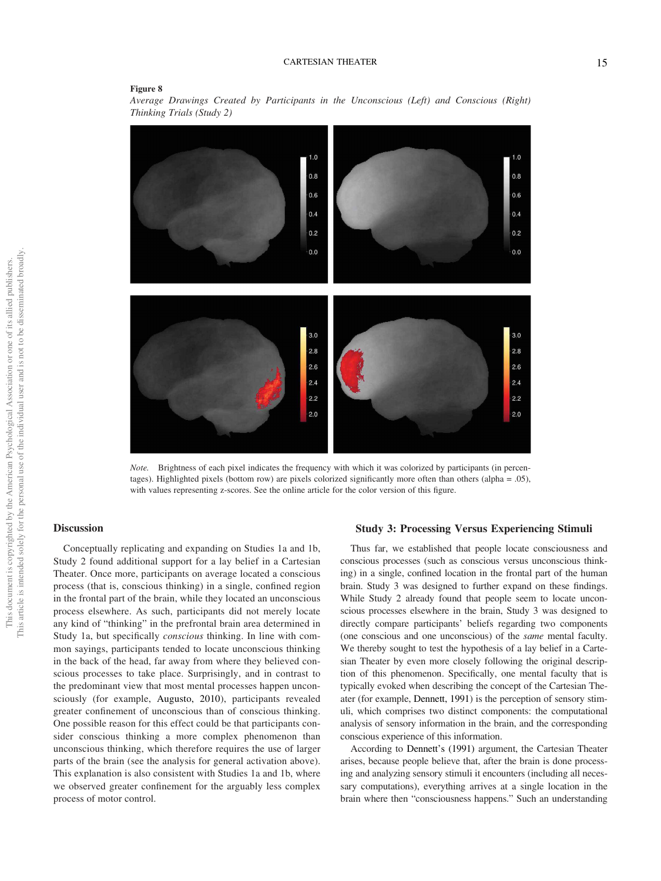## Figure 8





*Note.* Brightness of each pixel indicates the frequency with which it was colorized by participants (in percentages). Highlighted pixels (bottom row) are pixels colorized significantly more often than others (alpha = .05), with values representing z-scores. See the online article for the color version of this figure.

## **Discussion**

Conceptually replicating and expanding on Studies 1a and 1b, Study 2 found additional support for a lay belief in a Cartesian Theater. Once more, participants on average located a conscious process (that is, conscious thinking) in a single, confined region in the frontal part of the brain, while they located an unconscious process elsewhere. As such, participants did not merely locate any kind of "thinking" in the prefrontal brain area determined in Study 1a, but specifically *conscious* thinking. In line with common sayings, participants tended to locate unconscious thinking in the back of the head, far away from where they believed conscious processes to take place. Surprisingly, and in contrast to the predominant view that most mental processes happen unconsciously (for example, Augusto, 2010), participants revealed greater confinement of unconscious than of conscious thinking. One possible reason for this effect could be that participants consider conscious thinking a more complex phenomenon than unconscious thinking, which therefore requires the use of larger parts of the brain (see the analysis for general activation above). This explanation is also consistent with Studies 1a and 1b, where we observed greater confinement for the arguably less complex process of motor control.

#### Study 3: Processing Versus Experiencing Stimuli

Thus far, we established that people locate consciousness and conscious processes (such as conscious versus unconscious thinking) in a single, confined location in the frontal part of the human brain. Study 3 was designed to further expand on these findings. While Study 2 already found that people seem to locate unconscious processes elsewhere in the brain, Study 3 was designed to directly compare participants' beliefs regarding two components (one conscious and one unconscious) of the *same* mental faculty. We thereby sought to test the hypothesis of a lay belief in a Cartesian Theater by even more closely following the original description of this phenomenon. Specifically, one mental faculty that is typically evoked when describing the concept of the Cartesian Theater (for example, Dennett, 1991) is the perception of sensory stimuli, which comprises two distinct components: the computational analysis of sensory information in the brain, and the corresponding conscious experience of this information.

According to Dennett's (1991) argument, the Cartesian Theater arises, because people believe that, after the brain is done processing and analyzing sensory stimuli it encounters (including all necessary computations), everything arrives at a single location in the brain where then "consciousness happens." Such an understanding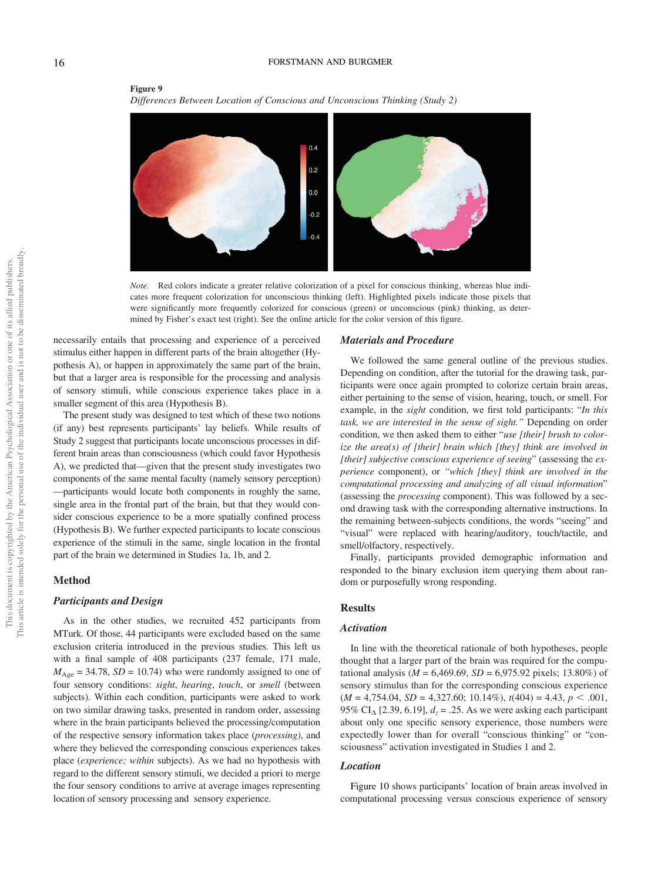#### 16 FORSTMANN AND BURGMER



Figure 9 *Differences Between Location of Conscious and Unconscious Thinking (Study 2)*

*Note.* Red colors indicate a greater relative colorization of a pixel for conscious thinking, whereas blue indicates more frequent colorization for unconscious thinking (left). Highlighted pixels indicate those pixels that were significantly more frequently colorized for conscious (green) or unconscious (pink) thinking, as determined by Fisher's exact test (right). See the online article for the color version of this figure.

necessarily entails that processing and experience of a perceived stimulus either happen in different parts of the brain altogether (Hypothesis A), or happen in approximately the same part of the brain, but that a larger area is responsible for the processing and analysis of sensory stimuli, while conscious experience takes place in a smaller segment of this area (Hypothesis B).

The present study was designed to test which of these two notions (if any) best represents participants' lay beliefs. While results of Study 2 suggest that participants locate unconscious processes in different brain areas than consciousness (which could favor Hypothesis A), we predicted that—given that the present study investigates two components of the same mental faculty (namely sensory perception) —participants would locate both components in roughly the same, single area in the frontal part of the brain, but that they would consider conscious experience to be a more spatially confined process (Hypothesis B). We further expected participants to locate conscious experience of the stimuli in the same, single location in the frontal part of the brain we determined in Studies 1a, 1b, and 2.

## Method

#### Participants and Design

As in the other studies, we recruited 452 participants from MTurk. Of those, 44 participants were excluded based on the same exclusion criteria introduced in the previous studies. This left us with a final sample of 408 participants (237 female, 171 male,  $M_{\text{Age}} = 34.78$ ,  $SD = 10.74$ ) who were randomly assigned to one of four sensory conditions: *sight*, *hearing*, *touch*, or *smell* (between subjects). Within each condition, participants were asked to work on two similar drawing tasks, presented in random order, assessing where in the brain participants believed the processing/computation of the respective sensory information takes place (*processing)*, and where they believed the corresponding conscious experiences takes place (*experience; within* subjects). As we had no hypothesis with regard to the different sensory stimuli, we decided a priori to merge the four sensory conditions to arrive at average images representing location of sensory processing and sensory experience.

#### Materials and Procedure

We followed the same general outline of the previous studies. Depending on condition, after the tutorial for the drawing task, participants were once again prompted to colorize certain brain areas, either pertaining to the sense of vision, hearing, touch, or smell. For example, in the *sight* condition, we first told participants: "*In this task, we are interested in the sense of sight.*" Depending on order condition, we then asked them to either "*use [their] brush to colorize the area(s) of [their] brain which [they] think are involved in [their] subjective conscious experience of seeing*" (assessing the *experience* component), or "*which [they] think are involved in the computational processing and analyzing of all visual information*" (assessing the *processing* component). This was followed by a second drawing task with the corresponding alternative instructions. In the remaining between-subjects conditions, the words "seeing" and "visual" were replaced with hearing/auditory, touch/tactile, and smell/olfactory, respectively.

Finally, participants provided demographic information and responded to the binary exclusion item querying them about random or purposefully wrong responding.

#### Results

#### Activation

In line with the theoretical rationale of both hypotheses, people thought that a larger part of the brain was required for the computational analysis ( $M = 6,469.69$ ,  $SD = 6,975.92$  pixels; 13.80%) of sensory stimulus than for the corresponding conscious experience  $(M = 4,754.04, SD = 4,327.60; 10.14\%), t(404) = 4.43, p < .001,$ 95% CI<sub> $\triangle$ </sub> [2.39, 6.19],  $d_z$  = .25. As we were asking each participant about only one specific sensory experience, those numbers were expectedly lower than for overall "conscious thinking" or "consciousness" activation investigated in Studies 1 and 2.

#### Location

Figure 10 shows participants' location of brain areas involved in computational processing versus conscious experience of sensory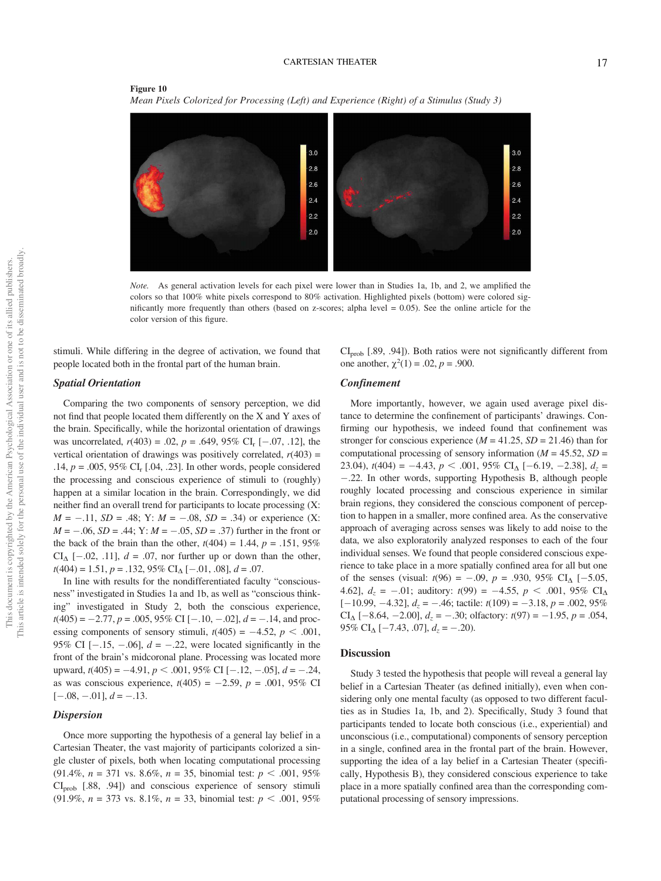#### Figure 10 *Mean Pixels Colorized for Processing (Left) and Experience (Right) of a Stimulus (Study 3)*



*Note.* As general activation levels for each pixel were lower than in Studies 1a, 1b, and 2, we amplified the colors so that 100% white pixels correspond to 80% activation. Highlighted pixels (bottom) were colored significantly more frequently than others (based on z-scores; alpha level = 0.05). See the online article for the color version of this figure.

stimuli. While differing in the degree of activation, we found that people located both in the frontal part of the human brain.

 $CI<sub>prob</sub>$  [.89, .94]). Both ratios were not significantly different from one another,  $\chi^2(1) = .02$ ,  $p = .900$ .

## Spatial Orientation

Comparing the two components of sensory perception, we did not find that people located them differently on the X and Y axes of the brain. Specifically, while the horizontal orientation of drawings was uncorrelated,  $r(403) = .02$ ,  $p = .649$ ,  $95\%$  CI<sub>r</sub> [-.07, .12], the vertical orientation of drawings was positively correlated,  $r(403)$  = .14,  $p = .005, 95\%$  CI<sub>r</sub> [.04, .23]. In other words, people considered the processing and conscious experience of stimuli to (roughly) happen at a similar location in the brain. Correspondingly, we did neither find an overall trend for participants to locate processing (X:  $M = -.11$ ,  $SD = .48$ ; Y:  $M = -.08$ ,  $SD = .34$ ) or experience (X:  $M = -.06$ ,  $SD = .44$ ;  $Y: M = -.05$ ,  $SD = .37$ ) further in the front or the back of the brain than the other,  $t(404) = 1.44$ ,  $p = .151$ , 95%  $CI_{\Delta}$  [-.02, .11],  $d = .07$ , nor further up or down than the other,  $t(404) = 1.51, p = .132, 95\% \text{ CI}_{\Delta}[-.01, .08], d = .07.$ 

In line with results for the nondifferentiated faculty "consciousness" investigated in Studies 1a and 1b, as well as "conscious thinking" investigated in Study 2, both the conscious experience,  $t(405) = -2.77$ ,  $p = .005$ , 95% CI [-.10, -.02],  $d = -.14$ , and processing components of sensory stimuli,  $t(405) = -4.52$ ,  $p < .001$ , 95% CI  $[-.15, -.06]$ ,  $d = -.22$ , were located significantly in the front of the brain's midcoronal plane. Processing was located more upward,  $t(405) = -4.91$ ,  $p < .001$ , 95% CI [-.12, -.05],  $d = -.24$ , as was conscious experience,  $t(405) = -2.59$ ,  $p = .001$ , 95% CI  $[-.08, -.01], d = -.13.$ 

## **Dispersion**

Once more supporting the hypothesis of a general lay belief in a Cartesian Theater, the vast majority of participants colorized a single cluster of pixels, both when locating computational processing  $(91.4\%, n = 371 \text{ vs. } 8.6\%, n = 35, \text{ binomial test: } p < .001, 95\%$  $CI<sub>prob</sub>$  [.88, .94]) and conscious experience of sensory stimuli (91.9%,  $n = 373$  vs. 8.1%,  $n = 33$ , binomial test:  $p < .001, 95\%$ 

## Confinement

More importantly, however, we again used average pixel distance to determine the confinement of participants' drawings. Confirming our hypothesis, we indeed found that confinement was stronger for conscious experience ( $M = 41.25$ ,  $SD = 21.46$ ) than for computational processing of sensory information ( $M = 45.52$ ,  $SD =$ 23.04),  $t(404) = -4.43$ ,  $p < .001$ , 95% CI<sub>A</sub> [-6.19, -2.38],  $d_z =$ .22. In other words, supporting Hypothesis B, although people roughly located processing and conscious experience in similar brain regions, they considered the conscious component of perception to happen in a smaller, more confined area. As the conservative approach of averaging across senses was likely to add noise to the data, we also exploratorily analyzed responses to each of the four individual senses. We found that people considered conscious experience to take place in a more spatially confined area for all but one of the senses (visual:  $t(96) = -.09$ ,  $p = .930$ ,  $95\%$  CI<sub>A</sub> [-5.05, 4.62],  $d_z = -.01$ ; auditory:  $t(99) = -4.55$ ,  $p < .001$ , 95% CI<sub>A</sub>  $[-10.99, -4.32], d_z = -.46$ ; tactile:  $t(109) = -3.18, p = .002, 95\%$ CI<sub> $\Delta$ </sub> [-8.64, -2.00],  $d_z = -.30$ ; olfactory:  $t(97) = -1.95$ ,  $p = .054$ , 95% CI<sub> $\Delta$ </sub> [-7.43, .07],  $d_z$  = -.20).

## Discussion

Study 3 tested the hypothesis that people will reveal a general lay belief in a Cartesian Theater (as defined initially), even when considering only one mental faculty (as opposed to two different faculties as in Studies 1a, 1b, and 2). Specifically, Study 3 found that participants tended to locate both conscious (i.e., experiential) and unconscious (i.e., computational) components of sensory perception in a single, confined area in the frontal part of the brain. However, supporting the idea of a lay belief in a Cartesian Theater (specifically, Hypothesis B), they considered conscious experience to take place in a more spatially confined area than the corresponding computational processing of sensory impressions.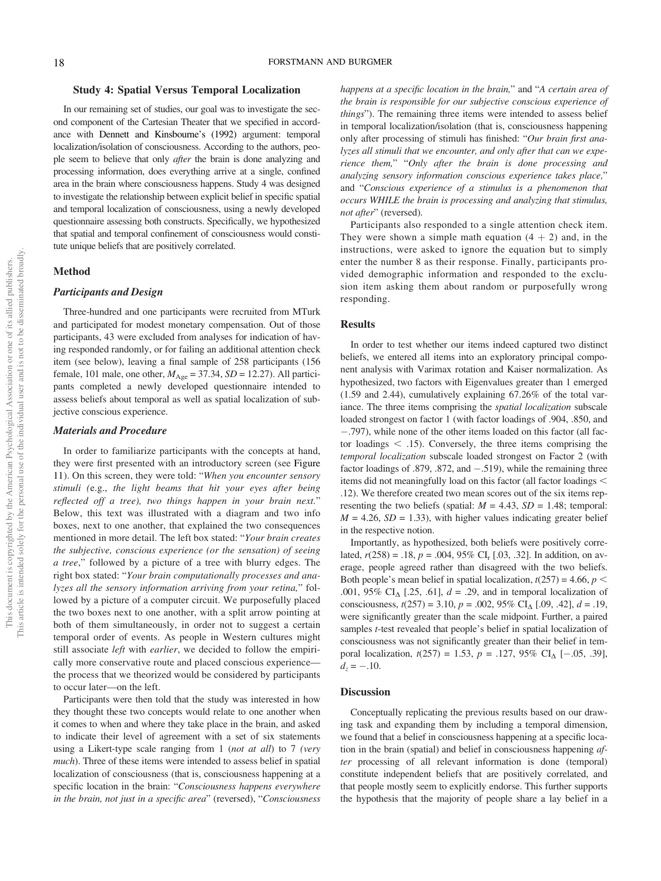#### Study 4: Spatial Versus Temporal Localization

In our remaining set of studies, our goal was to investigate the second component of the Cartesian Theater that we specified in accordance with Dennett and Kinsbourne's (1992) argument: temporal localization/isolation of consciousness. According to the authors, people seem to believe that only *after* the brain is done analyzing and processing information, does everything arrive at a single, confined area in the brain where consciousness happens. Study 4 was designed to investigate the relationship between explicit belief in specific spatial and temporal localization of consciousness, using a newly developed questionnaire assessing both constructs. Specifically, we hypothesized that spatial and temporal confinement of consciousness would constitute unique beliefs that are positively correlated.

#### Method

## Participants and Design

Three-hundred and one participants were recruited from MTurk and participated for modest monetary compensation. Out of those participants, 43 were excluded from analyses for indication of having responded randomly, or for failing an additional attention check item (see below), leaving a final sample of 258 participants (156 female, 101 male, one other,  $M_{\text{Age}} = 37.34$ ,  $SD = 12.27$ ). All participants completed a newly developed questionnaire intended to assess beliefs about temporal as well as spatial localization of subjective conscious experience.

#### Materials and Procedure

In order to familiarize participants with the concepts at hand, they were first presented with an introductory screen (see Figure 11). On this screen, they were told: "*When you encounter sensory stimuli (*e.g., *the light beams that hit your eyes after being re*fl*ected off a tree), two things happen in your brain next.*" Below, this text was illustrated with a diagram and two info boxes, next to one another, that explained the two consequences mentioned in more detail. The left box stated: "*Your brain creates the subjective, conscious experience (or the sensation) of seeing a tree*," followed by a picture of a tree with blurry edges. The right box stated: "*Your brain computationally processes and analyzes all the sensory information arriving from your retina,*" followed by a picture of a computer circuit. We purposefully placed the two boxes next to one another, with a split arrow pointing at both of them simultaneously, in order not to suggest a certain temporal order of events. As people in Western cultures might still associate *left* with *earlier*, we decided to follow the empirically more conservative route and placed conscious experience the process that we theorized would be considered by participants to occur later—on the left.

Participants were then told that the study was interested in how they thought these two concepts would relate to one another when it comes to when and where they take place in the brain, and asked to indicate their level of agreement with a set of six statements using a Likert-type scale ranging from 1 (*not at all*) to 7 *(very much*). Three of these items were intended to assess belief in spatial localization of consciousness (that is, consciousness happening at a specific location in the brain: "*Consciousness happens everywhere in the brain, not just in a speci*fi*c area*" (reversed), "*Consciousness* *happens at a speci*fi*c location in the brain,*" and "*A certain area of the brain is responsible for our subjective conscious experience of things*"). The remaining three items were intended to assess belief in temporal localization/isolation (that is, consciousness happening only after processing of stimuli has finished: "*Our brain* fi*rst analyzes all stimuli that we encounter, and only after that can we experience them,*" "*Only after the brain is done processing and analyzing sensory information conscious experience takes place,*" and "*Conscious experience of a stimulus is a phenomenon that occurs WHILE the brain is processing and analyzing that stimulus, not after*" (reversed).

Participants also responded to a single attention check item. They were shown a simple math equation  $(4 + 2)$  and, in the instructions, were asked to ignore the equation but to simply enter the number 8 as their response. Finally, participants provided demographic information and responded to the exclusion item asking them about random or purposefully wrong responding.

#### Results

In order to test whether our items indeed captured two distinct beliefs, we entered all items into an exploratory principal component analysis with Varimax rotation and Kaiser normalization. As hypothesized, two factors with Eigenvalues greater than 1 emerged (1.59 and 2.44), cumulatively explaining 67.26% of the total variance. The three items comprising the *spatial localization* subscale loaded strongest on factor 1 (with factor loadings of .904, .850, and .797), while none of the other items loaded on this factor (all factor loadings  $\lt$  .15). Conversely, the three items comprising the *temporal localization* subscale loaded strongest on Factor 2 (with factor loadings of .879, .872, and  $-.519$ ), while the remaining three items did not meaningfully load on this factor (all factor loadings  $\leq$ .12). We therefore created two mean scores out of the six items representing the two beliefs (spatial:  $M = 4.43$ ,  $SD = 1.48$ ; temporal:  $M = 4.26$ ,  $SD = 1.33$ ), with higher values indicating greater belief in the respective notion.

Importantly, as hypothesized, both beliefs were positively correlated,  $r(258) = .18$ ,  $p = .004$ ,  $95\%$  CI<sub>r</sub> [.03, .32]. In addition, on average, people agreed rather than disagreed with the two beliefs. Both people's mean belief in spatial localization,  $t(257) = 4.66$ ,  $p <$ .001, 95% CI<sub> $\Delta$ </sub> [.25, .61],  $d = .29$ , and in temporal localization of consciousness,  $t(257) = 3.10$ ,  $p = .002$ ,  $95\%$  CI<sub>A</sub> [.09, .42],  $d = .19$ , were significantly greater than the scale midpoint. Further, a paired samples *t*-test revealed that people's belief in spatial localization of consciousness was not significantly greater than their belief in temporal localization,  $t(257) = 1.53$ ,  $p = .127, 95\%$  CI<sub>A</sub> [-.05, .39],  $d_z = -.10$ .

#### **Discussion**

Conceptually replicating the previous results based on our drawing task and expanding them by including a temporal dimension, we found that a belief in consciousness happening at a specific location in the brain (spatial) and belief in consciousness happening *after* processing of all relevant information is done (temporal) constitute independent beliefs that are positively correlated, and that people mostly seem to explicitly endorse. This further supports the hypothesis that the majority of people share a lay belief in a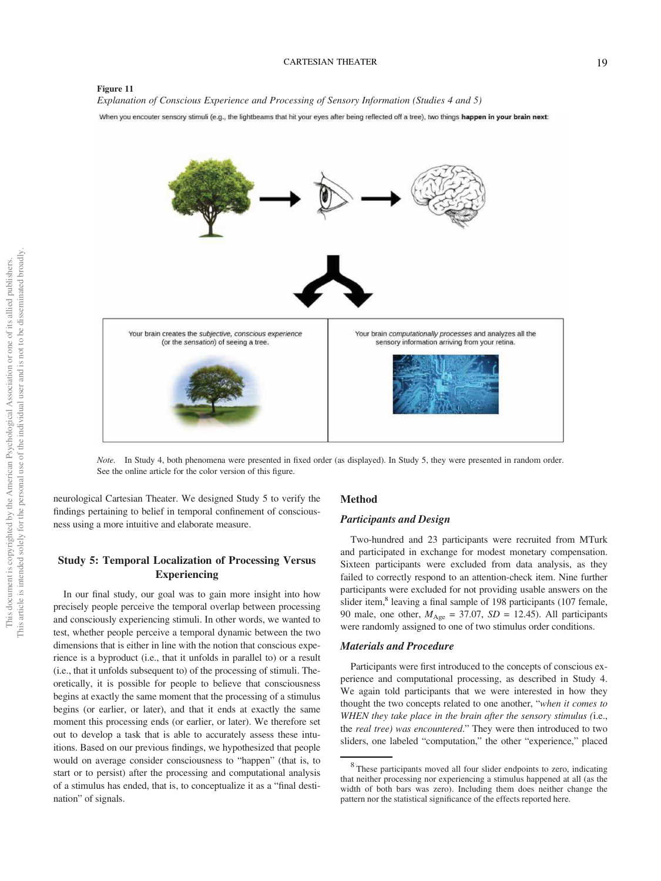## CARTESIAN THEATER 19

### Figure 11

*Explanation of Conscious Experience and Processing of Sensory Information (Studies 4 and 5)*

When you encouter sensory stimuli (e.g., the lightbeams that hit your eyes after being reflected off a tree), two things happen in your brain next:



*Note.* In Study 4, both phenomena were presented in fixed order (as displayed). In Study 5, they were presented in random order. See the online article for the color version of this figure.

neurological Cartesian Theater. We designed Study 5 to verify the findings pertaining to belief in temporal confinement of consciousness using a more intuitive and elaborate measure.

## Study 5: Temporal Localization of Processing Versus Experiencing

In our final study, our goal was to gain more insight into how precisely people perceive the temporal overlap between processing and consciously experiencing stimuli. In other words, we wanted to test, whether people perceive a temporal dynamic between the two dimensions that is either in line with the notion that conscious experience is a byproduct (i.e., that it unfolds in parallel to) or a result (i.e., that it unfolds subsequent to) of the processing of stimuli. Theoretically, it is possible for people to believe that consciousness begins at exactly the same moment that the processing of a stimulus begins (or earlier, or later), and that it ends at exactly the same moment this processing ends (or earlier, or later). We therefore set out to develop a task that is able to accurately assess these intuitions. Based on our previous findings, we hypothesized that people would on average consider consciousness to "happen" (that is, to start or to persist) after the processing and computational analysis of a stimulus has ended, that is, to conceptualize it as a "final destination" of signals.

## Method

## Participants and Design

Two-hundred and 23 participants were recruited from MTurk and participated in exchange for modest monetary compensation. Sixteen participants were excluded from data analysis, as they failed to correctly respond to an attention-check item. Nine further participants were excluded for not providing usable answers on the slider item,<sup>8</sup> leaving a final sample of 198 participants (107 female, 90 male, one other,  $M_{\text{Age}} = 37.07$ ,  $SD = 12.45$ ). All participants were randomly assigned to one of two stimulus order conditions.

#### Materials and Procedure

Participants were first introduced to the concepts of conscious experience and computational processing, as described in Study 4. We again told participants that we were interested in how they thought the two concepts related to one another, "*when it comes to WHEN they take place in the brain after the sensory stimulus (*i.e., the *real tree) was encountered*." They were then introduced to two sliders, one labeled "computation," the other "experience," placed

<sup>8</sup> These participants moved all four slider endpoints to zero, indicating that neither processing nor experiencing a stimulus happened at all (as the width of both bars was zero). Including them does neither change the pattern nor the statistical significance of the effects reported here.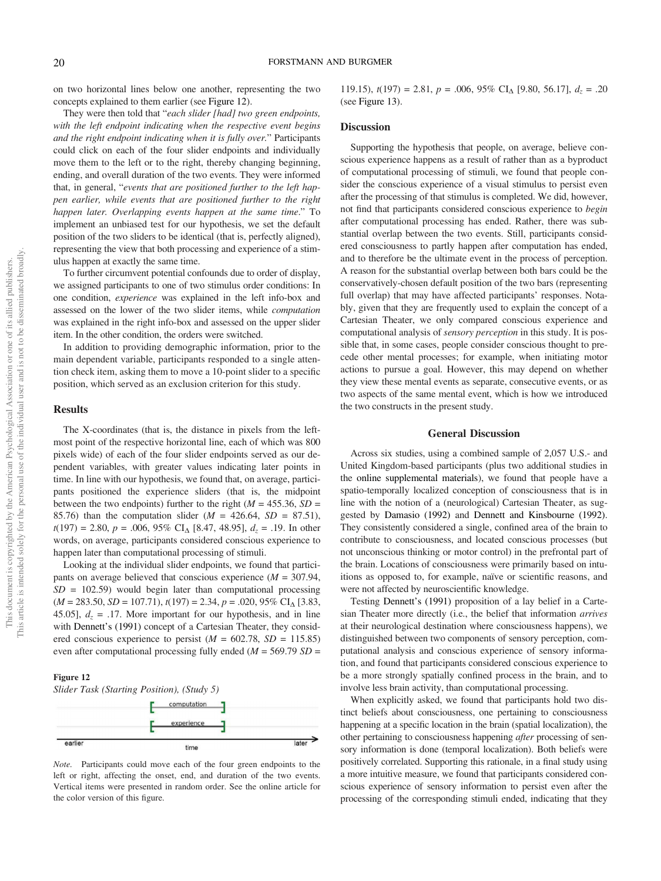on two horizontal lines below one another, representing the two concepts explained to them earlier (see Figure 12).

They were then told that "*each slider [had] two green endpoints, with the left endpoint indicating when the respective event begins and the right endpoint indicating when it is fully over.*" Participants could click on each of the four slider endpoints and individually move them to the left or to the right, thereby changing beginning, ending, and overall duration of the two events. They were informed that, in general, "*events that are positioned further to the left happen earlier, while events that are positioned further to the right happen later. Overlapping events happen at the same time*." To implement an unbiased test for our hypothesis, we set the default position of the two sliders to be identical (that is, perfectly aligned), representing the view that both processing and experience of a stimulus happen at exactly the same time.

To further circumvent potential confounds due to order of display, we assigned participants to one of two stimulus order conditions: In one condition, *experience* was explained in the left info-box and assessed on the lower of the two slider items, while *computation* was explained in the right info-box and assessed on the upper slider item. In the other condition, the orders were switched.

In addition to providing demographic information, prior to the main dependent variable, participants responded to a single attention check item, asking them to move a 10-point slider to a specific position, which served as an exclusion criterion for this study.

## Results

The X-coordinates (that is, the distance in pixels from the leftmost point of the respective horizontal line, each of which was 800 pixels wide) of each of the four slider endpoints served as our dependent variables, with greater values indicating later points in time. In line with our hypothesis, we found that, on average, participants positioned the experience sliders (that is, the midpoint between the two endpoints) further to the right ( $M = 455.36$ ,  $SD =$ 85.76) than the computation slider (*M* = 426.64, *SD* = 87.51),  $t(197) = 2.80, p = .006, 95\% \text{ CI}_{\Delta} [8.47, 48.95], d_z = .19$ . In other words, on average, participants considered conscious experience to happen later than computational processing of stimuli.

Looking at the individual slider endpoints, we found that participants on average believed that conscious experience (*M* = 307.94,  $SD = 102.59$  would begin later than computational processing  $(M = 283.50, SD = 107.71), t(197) = 2.34, p = .020, 95\% \text{ CI}_{\Delta} [3.83,$ 45.05],  $d_z = .17$ . More important for our hypothesis, and in line with Dennett's (1991) concept of a Cartesian Theater, they considered conscious experience to persist  $(M = 602.78, SD = 115.85)$ even after computational processing fully ended (*M* = 569.79 *SD* =

#### Figure 12

*Slider Task (Starting Position), (Study 5)*



*Note.* Participants could move each of the four green endpoints to the left or right, affecting the onset, end, and duration of the two events. Vertical items were presented in random order. See the online article for the color version of this figure.

119.15),  $t(197) = 2.81$ ,  $p = .006$ ,  $95\%$  CI<sub>A</sub> [9.80, 56.17],  $d_z = .20$ (see Figure 13).

## Discussion

Supporting the hypothesis that people, on average, believe conscious experience happens as a result of rather than as a byproduct of computational processing of stimuli, we found that people consider the conscious experience of a visual stimulus to persist even after the processing of that stimulus is completed. We did, however, not find that participants considered conscious experience to *begin* after computational processing has ended. Rather, there was substantial overlap between the two events. Still, participants considered consciousness to partly happen after computation has ended, and to therefore be the ultimate event in the process of perception. A reason for the substantial overlap between both bars could be the conservatively-chosen default position of the two bars (representing full overlap) that may have affected participants' responses. Notably, given that they are frequently used to explain the concept of a Cartesian Theater, we only compared conscious experience and computational analysis of *sensory perception* in this study. It is possible that, in some cases, people consider conscious thought to precede other mental processes; for example, when initiating motor actions to pursue a goal. However, this may depend on whether they view these mental events as separate, consecutive events, or as two aspects of the same mental event, which is how we introduced the two constructs in the present study.

#### General Discussion

Across six studies, using a combined sample of 2,057 U.S.- and United Kingdom-based participants (plus two additional studies in the online supplemental materials), we found that people have a spatio-temporally localized conception of consciousness that is in line with the notion of a (neurological) Cartesian Theater, as suggested by Damasio (1992) and Dennett and Kinsbourne (1992). They consistently considered a single, confined area of the brain to contribute to consciousness, and located conscious processes (but not unconscious thinking or motor control) in the prefrontal part of the brain. Locations of consciousness were primarily based on intuitions as opposed to, for example, naïve or scientific reasons, and were not affected by neuroscientific knowledge.

Testing Dennett's (1991) proposition of a lay belief in a Cartesian Theater more directly (i.e., the belief that information *arrives* at their neurological destination where consciousness happens), we distinguished between two components of sensory perception, computational analysis and conscious experience of sensory information, and found that participants considered conscious experience to be a more strongly spatially confined process in the brain, and to involve less brain activity, than computational processing.

When explicitly asked, we found that participants hold two distinct beliefs about consciousness, one pertaining to consciousness happening at a specific location in the brain (spatial localization), the other pertaining to consciousness happening *after* processing of sensory information is done (temporal localization). Both beliefs were positively correlated. Supporting this rationale, in a final study using a more intuitive measure, we found that participants considered conscious experience of sensory information to persist even after the processing of the corresponding stimuli ended, indicating that they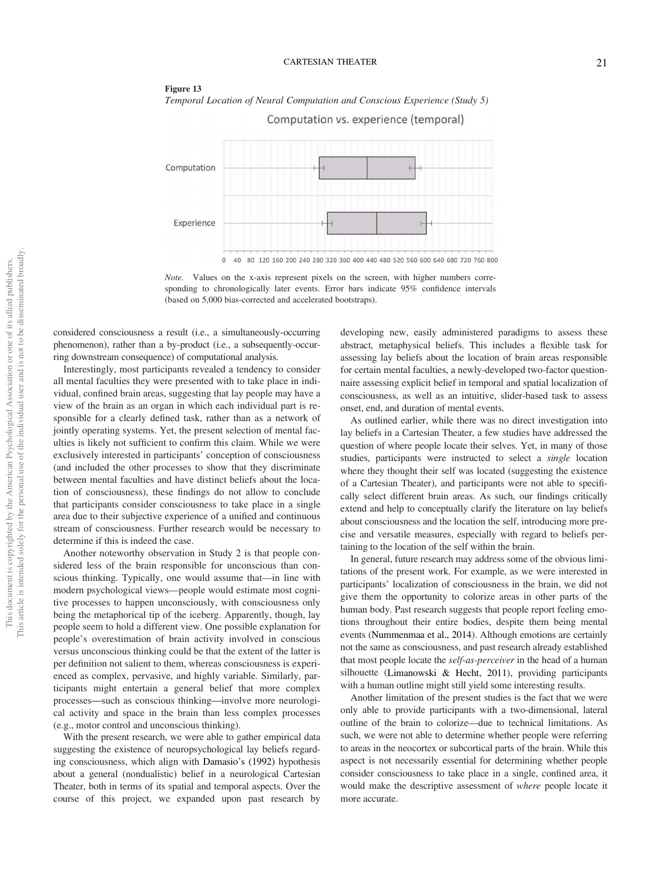#### CARTESIAN THEATER 21

#### Figure 13



Computation vs. experience (temporal)



*Note.* Values on the x-axis represent pixels on the screen, with higher numbers corresponding to chronologically later events. Error bars indicate 95% confidence intervals (based on 5,000 bias-corrected and accelerated bootstraps).

considered consciousness a result (i.e., a simultaneously-occurring phenomenon), rather than a by-product (i.e., a subsequently-occurring downstream consequence) of computational analysis.

Interestingly, most participants revealed a tendency to consider all mental faculties they were presented with to take place in individual, confined brain areas, suggesting that lay people may have a view of the brain as an organ in which each individual part is responsible for a clearly defined task, rather than as a network of jointly operating systems. Yet, the present selection of mental faculties is likely not sufficient to confirm this claim. While we were exclusively interested in participants' conception of consciousness (and included the other processes to show that they discriminate between mental faculties and have distinct beliefs about the location of consciousness), these findings do not allow to conclude that participants consider consciousness to take place in a single area due to their subjective experience of a unified and continuous stream of consciousness. Further research would be necessary to determine if this is indeed the case.

Another noteworthy observation in Study 2 is that people considered less of the brain responsible for unconscious than conscious thinking. Typically, one would assume that—in line with modern psychological views—people would estimate most cognitive processes to happen unconsciously, with consciousness only being the metaphorical tip of the iceberg. Apparently, though, lay people seem to hold a different view. One possible explanation for people's overestimation of brain activity involved in conscious versus unconscious thinking could be that the extent of the latter is per definition not salient to them, whereas consciousness is experienced as complex, pervasive, and highly variable. Similarly, participants might entertain a general belief that more complex processes––such as conscious thinking––involve more neurological activity and space in the brain than less complex processes (e.g., motor control and unconscious thinking).

With the present research, we were able to gather empirical data suggesting the existence of neuropsychological lay beliefs regarding consciousness, which align with Damasio's (1992) hypothesis about a general (nondualistic) belief in a neurological Cartesian Theater, both in terms of its spatial and temporal aspects. Over the course of this project, we expanded upon past research by

developing new, easily administered paradigms to assess these abstract, metaphysical beliefs. This includes a flexible task for assessing lay beliefs about the location of brain areas responsible for certain mental faculties, a newly-developed two-factor questionnaire assessing explicit belief in temporal and spatial localization of consciousness, as well as an intuitive, slider-based task to assess onset, end, and duration of mental events.

As outlined earlier, while there was no direct investigation into lay beliefs in a Cartesian Theater, a few studies have addressed the question of where people locate their selves. Yet, in many of those studies, participants were instructed to select a *single* location where they thought their self was located (suggesting the existence of a Cartesian Theater), and participants were not able to specifically select different brain areas. As such, our findings critically extend and help to conceptually clarify the literature on lay beliefs about consciousness and the location the self, introducing more precise and versatile measures, especially with regard to beliefs pertaining to the location of the self within the brain.

In general, future research may address some of the obvious limitations of the present work. For example, as we were interested in participants' localization of consciousness in the brain, we did not give them the opportunity to colorize areas in other parts of the human body. Past research suggests that people report feeling emotions throughout their entire bodies, despite them being mental events (Nummenmaa et al., 2014). Although emotions are certainly not the same as consciousness, and past research already established that most people locate the *self-as-perceiver* in the head of a human silhouette (Limanowski & Hecht, 2011), providing participants with a human outline might still yield some interesting results.

Another limitation of the present studies is the fact that we were only able to provide participants with a two-dimensional, lateral outline of the brain to colorize—due to technical limitations. As such, we were not able to determine whether people were referring to areas in the neocortex or subcortical parts of the brain. While this aspect is not necessarily essential for determining whether people consider consciousness to take place in a single, confined area, it would make the descriptive assessment of *where* people locate it more accurate.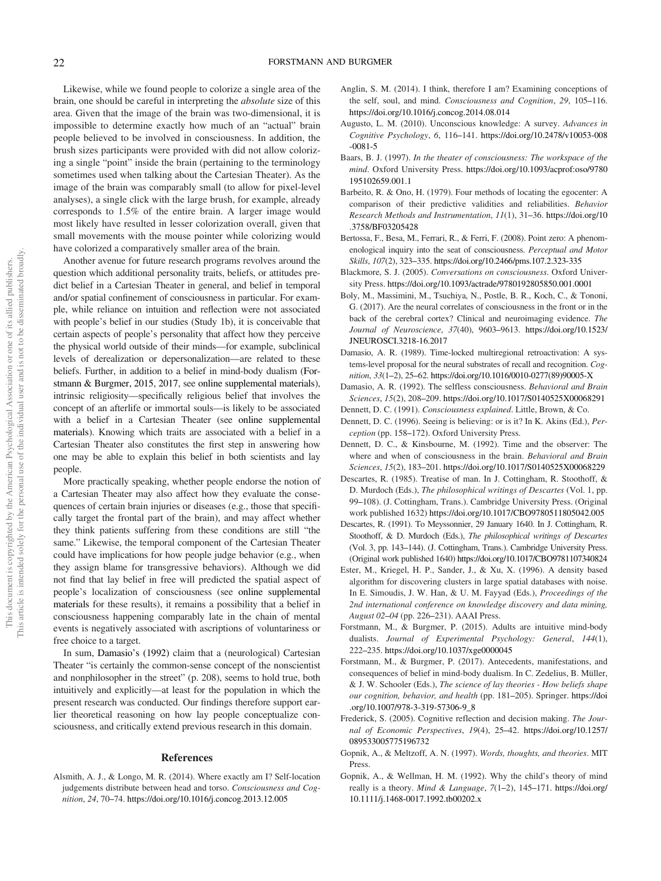Likewise, while we found people to colorize a single area of the brain, one should be careful in interpreting the *absolute* size of this area. Given that the image of the brain was two-dimensional, it is impossible to determine exactly how much of an "actual" brain people believed to be involved in consciousness. In addition, the brush sizes participants were provided with did not allow colorizing a single "point" inside the brain (pertaining to the terminology sometimes used when talking about the Cartesian Theater). As the image of the brain was comparably small (to allow for pixel-level analyses), a single click with the large brush, for example, already corresponds to 1.5% of the entire brain. A larger image would most likely have resulted in lesser colorization overall, given that small movements with the mouse pointer while colorizing would have colorized a comparatively smaller area of the brain.

Another avenue for future research programs revolves around the question which additional personality traits, beliefs, or attitudes predict belief in a Cartesian Theater in general, and belief in temporal and/or spatial confinement of consciousness in particular. For example, while reliance on intuition and reflection were not associated with people's belief in our studies (Study 1b), it is conceivable that certain aspects of people's personality that affect how they perceive the physical world outside of their minds—for example, subclinical levels of derealization or depersonalization—are related to these beliefs. Further, in addition to a belief in mind-body dualism (Forstmann & Burgmer, 2015, 2017, see online supplemental materials), intrinsic religiosity—specifically religious belief that involves the concept of an afterlife or immortal souls—is likely to be associated with a belief in a Cartesian Theater (see online supplemental materials). Knowing which traits are associated with a belief in a Cartesian Theater also constitutes the first step in answering how one may be able to explain this belief in both scientists and lay people.

More practically speaking, whether people endorse the notion of a Cartesian Theater may also affect how they evaluate the consequences of certain brain injuries or diseases (e.g., those that specifically target the frontal part of the brain), and may affect whether they think patients suffering from these conditions are still "the same." Likewise, the temporal component of the Cartesian Theater could have implications for how people judge behavior (e.g., when they assign blame for transgressive behaviors). Although we did not find that lay belief in free will predicted the spatial aspect of people's localization of consciousness (see online supplemental materials for these results), it remains a possibility that a belief in consciousness happening comparably late in the chain of mental events is negatively associated with ascriptions of voluntariness or free choice to a target.

In sum, Damasio's (1992) claim that a (neurological) Cartesian Theater "is certainly the common-sense concept of the nonscientist and nonphilosopher in the street" (p. 208), seems to hold true, both intuitively and explicitly—at least for the population in which the present research was conducted. Our findings therefore support earlier theoretical reasoning on how lay people conceptualize consciousness, and critically extend previous research in this domain.

#### References

Alsmith, A. J., & Longo, M. R. (2014). Where exactly am I? Self-location judgements distribute between head and torso. *Consciousness and Cognition*, *24*, 70–74. https://doi.org/10.1016/j.concog.2013.12.005

- Anglin, S. M. (2014). I think, therefore I am? Examining conceptions of the self, soul, and mind. *Consciousness and Cognition*, *29*, 105–116. https://doi.org/10.1016/j.concog.2014.08.014
- Augusto, L. M. (2010). Unconscious knowledge: A survey. *Advances in Cognitive Psychology*, *6*, 116–141. https://doi.org/10.2478/v10053-008 -0081-5
- Baars, B. J. (1997). *In the theater of consciousness: The workspace of the mind*. Oxford University Press. https://doi.org/10.1093/acprof:oso/9780 195102659.001.1
- Barbeito, R. & Ono, H. (1979). Four methods of locating the egocenter: A comparison of their predictive validities and reliabilities. *Behavior Research Methods and Instrumentation*, *11*(1), 31–36. https://doi.org/10 .3758/BF03205428
- Bertossa, F., Besa, M., Ferrari, R., & Ferri, F. (2008). Point zero: A phenomenological inquiry into the seat of consciousness. *Perceptual and Motor Skills*, *107*(2), 323–335. https://doi.org/10.2466/pms.107.2.323-335
- Blackmore, S. J. (2005). *Conversations on consciousness*. Oxford University Press. https://doi.org/10.1093/actrade/9780192805850.001.0001
- Boly, M., Massimini, M., Tsuchiya, N., Postle, B. R., Koch, C., & Tononi, G. (2017). Are the neural correlates of consciousness in the front or in the back of the cerebral cortex? Clinical and neuroimaging evidence. *The Journal of Neuroscience*, *37*(40), 9603–9613. https://doi.org/10.1523/ JNEUROSCI.3218-16.2017
- Damasio, A. R. (1989). Time-locked multiregional retroactivation: A systems-level proposal for the neural substrates of recall and recognition. *Cognition*, *33*(1–2), 25–62. https://doi.org/10.1016/0010-0277(89)90005-X
- Damasio, A. R. (1992). The selfless consciousness. *Behavioral and Brain Sciences*, *15*(2), 208–209. https://doi.org/10.1017/S0140525X00068291
- Dennett, D. C. (1991). *Consciousness explained*. Little, Brown, & Co.
- Dennett, D. C. (1996). Seeing is believing: or is it? In K. Akins (Ed.), *Perception* (pp. 158–172). Oxford University Press.
- Dennett, D. C., & Kinsbourne, M. (1992). Time and the observer: The where and when of consciousness in the brain. *Behavioral and Brain Sciences*, *15*(2), 183–201. https://doi.org/10.1017/S0140525X00068229
- Descartes, R. (1985). Treatise of man. In J. Cottingham, R. Stoothoff, & D. Murdoch (Eds.), *The philosophical writings of Descartes* (Vol. 1, pp. 99–108). (J. Cottingham, Trans.). Cambridge University Press. (Original work published 1632) https://doi.org/10.1017/CBO9780511805042.005
- Descartes, R. (1991). To Meyssonnier, 29 January 1640. In J. Cottingham, R. Stoothoff, & D. Murdoch (Eds.), *The philosophical writings of Descartes* (Vol. 3, pp. 143–144). (J. Cottingham, Trans.). Cambridge University Press. (Original work published 1640) https://doi.org/10.1017/CBO9781107340824
- Ester, M., Kriegel, H. P., Sander, J., & Xu, X. (1996). A density based algorithm for discovering clusters in large spatial databases with noise. In E. Simoudis, J. W. Han, & U. M. Fayyad (Eds.), *Proceedings of the 2nd international conference on knowledge discovery and data mining, August 02*–*04* (pp. 226–231). AAAI Press.
- Forstmann, M., & Burgmer, P. (2015). Adults are intuitive mind-body dualists. *Journal of Experimental Psychology: General*, *144*(1), 222–235. https://doi.org/10.1037/xge0000045
- Forstmann, M., & Burgmer, P. (2017). Antecedents, manifestations, and consequences of belief in mind-body dualism. In C. Zedelius, B. Müller, & J. W. Schooler (Eds.), *The science of lay theories - How beliefs shape our cognition, behavior, and health* (pp. 181–205). Springer. https://doi .org/10.1007/978-3-319-57306-9\_8
- Frederick, S. (2005). Cognitive reflection and decision making. *The Journal of Economic Perspectives*, *19*(4), 25–42. https://doi.org/10.1257/ 089533005775196732
- Gopnik, A., & Meltzoff, A. N. (1997). *Words, thoughts, and theories*. MIT Press.
- Gopnik, A., & Wellman, H. M. (1992). Why the child's theory of mind really is a theory. *Mind & Language*, *7*(1–2), 145–171. https://doi.org/ 10.1111/j.1468-0017.1992.tb00202.x